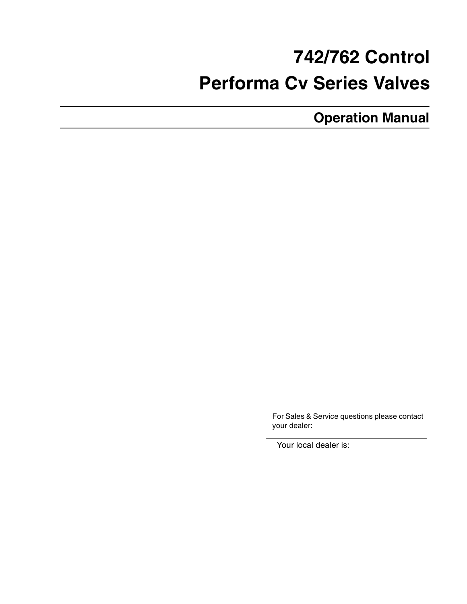# **742/762 Control Performa Cv Series Valves**

**Operation Manual**

For Sales & Service questions please contact your dealer:

Your local dealer is: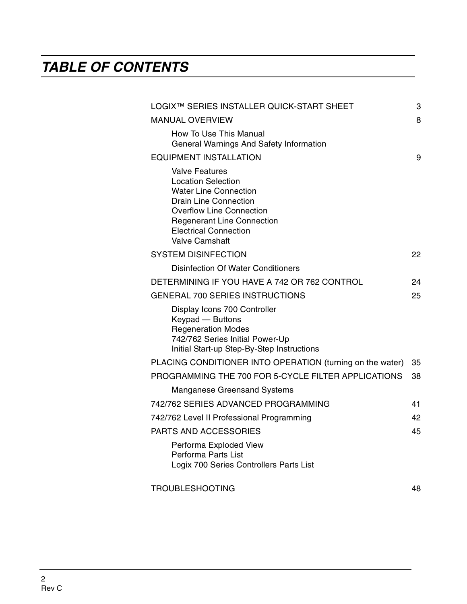# **TABLE OF CONTENTS**

| LOGIX™ SERIES INSTALLER QUICK-START SHEET                                                                                                                                                                                                           | 3  |
|-----------------------------------------------------------------------------------------------------------------------------------------------------------------------------------------------------------------------------------------------------|----|
| <b>MANUAL OVERVIEW</b>                                                                                                                                                                                                                              | 8  |
| How To Use This Manual<br>General Warnings And Safety Information                                                                                                                                                                                   |    |
| <b>EQUIPMENT INSTALLATION</b>                                                                                                                                                                                                                       | 9  |
| <b>Valve Features</b><br><b>Location Selection</b><br><b>Water Line Connection</b><br><b>Drain Line Connection</b><br><b>Overflow Line Connection</b><br><b>Regenerant Line Connection</b><br><b>Electrical Connection</b><br><b>Valve Camshaft</b> |    |
| <b>SYSTEM DISINFECTION</b>                                                                                                                                                                                                                          | 22 |
| <b>Disinfection Of Water Conditioners</b>                                                                                                                                                                                                           |    |
| DETERMINING IF YOU HAVE A 742 OR 762 CONTROL                                                                                                                                                                                                        | 24 |
| <b>GENERAL 700 SERIES INSTRUCTIONS</b>                                                                                                                                                                                                              | 25 |
| Display Icons 700 Controller<br>Keypad - Buttons<br><b>Regeneration Modes</b><br>742/762 Series Initial Power-Up<br>Initial Start-up Step-By-Step Instructions                                                                                      |    |
| PLACING CONDITIONER INTO OPERATION (turning on the water)                                                                                                                                                                                           | 35 |
| PROGRAMMING THE 700 FOR 5-CYCLE FILTER APPLICATIONS                                                                                                                                                                                                 | 38 |
| <b>Manganese Greensand Systems</b>                                                                                                                                                                                                                  |    |
| 742/762 SERIES ADVANCED PROGRAMMING                                                                                                                                                                                                                 | 41 |
| 742/762 Level II Professional Programming                                                                                                                                                                                                           | 42 |
| <b>PARTS AND ACCESSORIES</b>                                                                                                                                                                                                                        | 45 |
| Performa Exploded View<br>Performa Parts List<br>Logix 700 Series Controllers Parts List                                                                                                                                                            |    |
| <b>TROUBLESHOOTING</b>                                                                                                                                                                                                                              | 48 |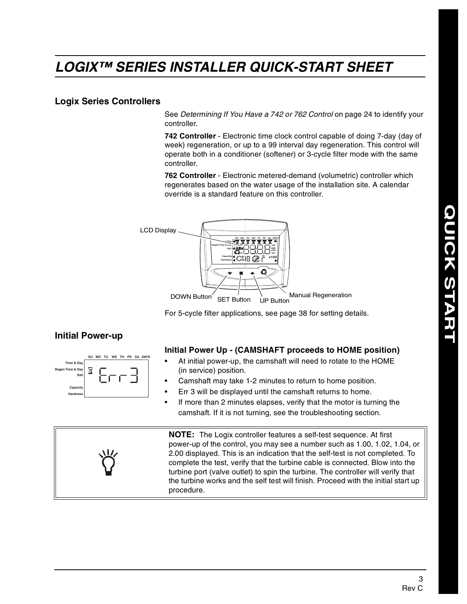# **LOGIX™ SERIES INSTALLER QUICK-START SHEET**

#### **Logix Series Controllers**

See Determining If You Have a 742 or 762 Control on page 24 to identify your controller.

**742 Controller** - Electronic time clock control capable of doing 7-day (day of week) regeneration, or up to a 99 interval day regeneration. This control will operate both in a conditioner (softener) or 3-cycle filter mode with the same controller.

**762 Controller** - Electronic metered-demand (volumetric) controller which regenerates based on the water usage of the installation site. A calendar override is a standard feature on this controller.



For 5-cycle filter applications, see page 38 for setting details.

#### **Initial Power-up**

|                            | SU |  |  |  | MO TU WE TH FR SA DAYS |
|----------------------------|----|--|--|--|------------------------|
| Time & Day                 |    |  |  |  |                        |
| Regen Time & Day           |    |  |  |  |                        |
| Salt                       |    |  |  |  |                        |
|                            |    |  |  |  |                        |
| Capacity                   |    |  |  |  |                        |
| and the<br><b>Hardness</b> |    |  |  |  |                        |

#### **Initial Power Up - (CAMSHAFT proceeds to HOME position)**

- At initial power-up, the camshaft will need to rotate to the HOME (in service) position.
- Camshaft may take 1-2 minutes to return to home position.
- Err 3 will be displayed until the camshaft returns to home.
- If more than 2 minutes elapses, verify that the motor is turning the camshaft. If it is not turning, see the troubleshooting section.

**NOTE:** The Logix controller features a self-test sequence. At first power-up of the control, you may see a number such as 1.00, 1.02, 1.04, or 2.00 displayed. This is an indication that the self-test is not completed. To complete the test, verify that the turbine cable is connected. Blow into the turbine port (valve outlet) to spin the turbine. The controller will verify that the turbine works and the self test will finish. Proceed with the initial start up procedure.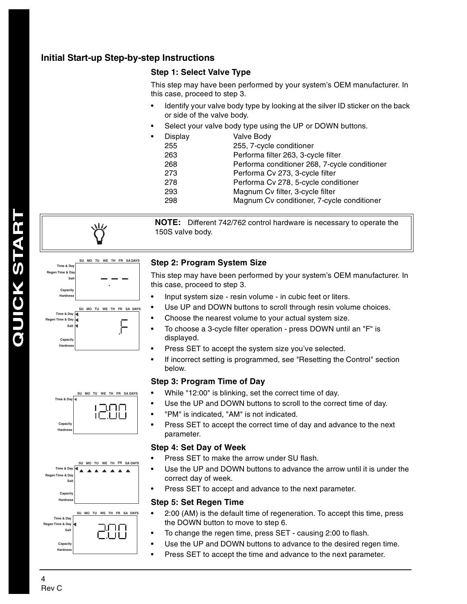#### **Initial Start-up Step-by-step Instructions**

#### **Step 1: Select Valve Type**

This step may have been performed by your system's OEM manufacturer. In this case, proceed to step 3.

- Identify your valve body type by looking at the silver ID sticker on the back or side of the valve body.
- Select your valve body type using the UP or DOWN buttons.

| $\bullet$ | Display | Valve Body                                    |
|-----------|---------|-----------------------------------------------|
|           | 255     | 255, 7-cycle conditioner                      |
|           | 263     | Performa filter 263, 3-cycle filter           |
|           | 268     | Performa conditioner 268, 7-cycle conditioner |
|           | 273     | Performa Cv 273, 3-cycle filter               |
|           | 278     | Performa Cv 278, 5-cycle conditioner          |
|           | 293     | Magnum Cv filter, 3-cycle filter              |
|           | 298     | Magnum Cv conditioner, 7-cycle conditioner    |
|           |         |                                               |

**NOTE:** Different 742/762 control hardware is necessary to operate the 150S valve body.



# **Capacity**

**Hardness**





#### **Time & Day Regen Time & Day** .I II I **Sal Capacit Hardness**

#### **Step 2: Program System Size**

This step may have been performed by your system's OEM manufacturer. In this case, proceed to step 3.

- Input system size resin volume in cubic feet or liters.
- Use UP and DOWN buttons to scroll through resin volume choices.
- Choose the nearest volume to your actual system size.
- To choose a 3-cycle filter operation press DOWN until an "F" is displayed.
- Press SET to accept the system size you've selected.
- If incorrect setting is programmed, see "Resetting the Control" section below.

#### **Step 3: Program Time of Day**

- While "12:00" is blinking, set the correct time of day.
- Use the UP and DOWN buttons to scroll to the correct time of day.
- "PM" is indicated, "AM" is not indicated.
- Press SET to accept the correct time of day and advance to the next parameter.

#### **Step 4: Set Day of Week**

- Press SET to make the arrow under SU flash.
- Use the UP and DOWN buttons to advance the arrow until it is under the correct day of week.
- Press SET to accept and advance to the next parameter.

#### **Step 5: Set Regen Time**

- 2:00 (AM) is the default time of regeneration. To accept this time, press the DOWN button to move to step 6.
- To change the regen time, press SET causing 2:00 to flash.
- Use the UP and DOWN buttons to advance to the desired regen time.
- Press SET to accept the time and advance to the next parameter.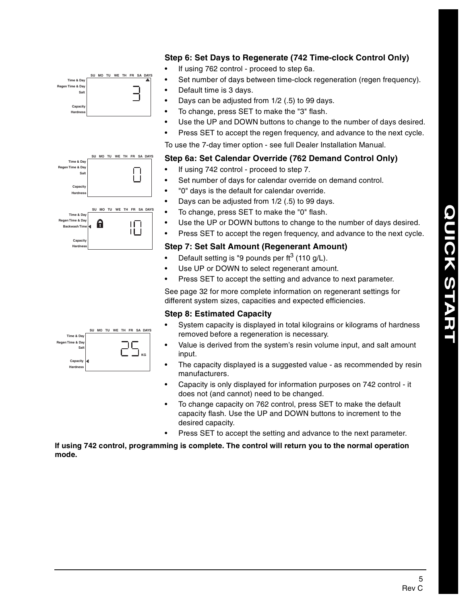#### **Step 6: Set Days to Regenerate (742 Time-clock Control Only)**

- If using 762 control proceed to step 6a.
- Set number of days between time-clock regeneration (regen frequency).
- Default time is 3 days.
- Days can be adjusted from 1/2 (.5) to 99 days.
- To change, press SET to make the "3" flash.
- Use the UP and DOWN buttons to change to the number of days desired.
- Press SET to accept the regen frequency, and advance to the next cycle.

To use the 7-day timer option - see full Dealer Installation Manual.

#### **Step 6a: Set Calendar Override (762 Demand Control Only)**

- If using 742 control proceed to step 7.
- Set number of days for calendar override on demand control.
- "0" days is the default for calendar override.
- Days can be adjusted from 1/2 (.5) to 99 days.
- To change, press SET to make the "0" flash.
	- Use the UP or DOWN buttons to change to the number of days desired.
- Press SET to accept the regen frequency, and advance to the next cycle.

#### **Step 7: Set Salt Amount (Regenerant Amount)**

- Default setting is "9 pounds per  $\text{ft}^3$  (110 g/L).
- Use UP or DOWN to select regenerant amount.
- Press SET to accept the setting and advance to next parameter.

See page 32 for more complete information on regenerant settings for different system sizes, capacities and expected efficiencies.

#### **Step 8: Estimated Capacity**

- System capacity is displayed in total kilograins or kilograms of hardness removed before a regeneration is necessary.
- Value is derived from the system's resin volume input, and salt amount input.
- The capacity displayed is a suggested value as recommended by resin manufacturers.
- Capacity is only displayed for information purposes on 742 control it does not (and cannot) need to be changed.
- To change capacity on 762 control, press SET to make the default capacity flash. Use the UP and DOWN buttons to increment to the desired capacity.
- Press SET to accept the setting and advance to the next parameter.

**If using 742 control, programming is complete. The control will return you to the normal operation mode.**



**SU MO TU WE TH FR SA DAYS**

 $\prod$ 

**SU MO TU WE TH FR SA DAYS**

 $\mathsf{II}$ İĹİ

**Time & Day Regen Time & Day Sa** 

> **Capacity Hardness**

**Time & Day Regen Time & Day Backwash Time**

> Capa **Hardness**

**Capacity Hardness**

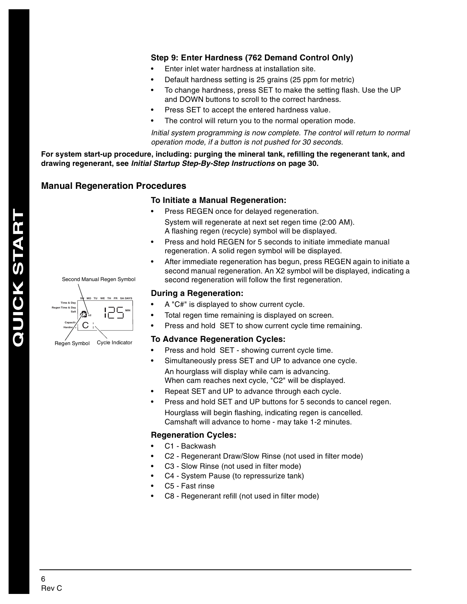#### **Step 9: Enter Hardness (762 Demand Control Only)**

- Enter inlet water hardness at installation site.
- Default hardness setting is 25 grains (25 ppm for metric)
- To change hardness, press SET to make the setting flash. Use the UP and DOWN buttons to scroll to the correct hardness.
- Press SET to accept the entered hardness value.
- The control will return you to the normal operation mode.

Initial system programming is now complete. The control will return to normal operation mode, if a button is not pushed for 30 seconds.

**For system start-up procedure, including: purging the mineral tank, refilling the regenerant tank, and drawing regenerant, see Initial Startup Step-By-Step Instructions on page 30.**

#### **Manual Regeneration Procedures**

**SU MO TU WE TH FR SA DAYS**

Second Manual Regen Symbol

**MIN**

#### **To Initiate a Manual Regeneration:**

- Press REGEN once for delayed regeneration. System will regenerate at next set regen time (2:00 AM). A flashing regen (recycle) symbol will be displayed.
- Press and hold REGEN for 5 seconds to initiate immediate manual regeneration. A solid regen symbol will be displayed.
- After immediate regeneration has begun, press REGEN again to initiate a second manual regeneration. An X2 symbol will be displayed, indicating a second regeneration will follow the first regeneration.

#### **During a Regeneration:**

- A "C#" is displayed to show current cycle.
- Total regen time remaining is displayed on screen.
- Press and hold SET to show current cycle time remaining.

#### **To Advance Regeneration Cycles:**

- Press and hold SET showing current cycle time.
- Simultaneously press SET and UP to advance one cycle. An hourglass will display while cam is advancing. When cam reaches next cycle, "C2" will be displayed.
- Repeat SET and UP to advance through each cycle.
- Press and hold SET and UP buttons for 5 seconds to cancel regen. Hourglass will begin flashing, indicating regen is cancelled. Camshaft will advance to home - may take 1-2 minutes.

#### **Regeneration Cycles:**

- C1 Backwash
- C2 Regenerant Draw/Slow Rinse (not used in filter mode)
- C3 Slow Rinse (not used in filter mode)
- C4 System Pause (to repressurize tank)
- C5 Fast rinse
- C8 Regenerant refill (not used in filter mode)

**Time & Day Regen Time & Day Salt**

> Capacity C Hardne**/**s

**x2**

Regen Symbol Cycle Indicator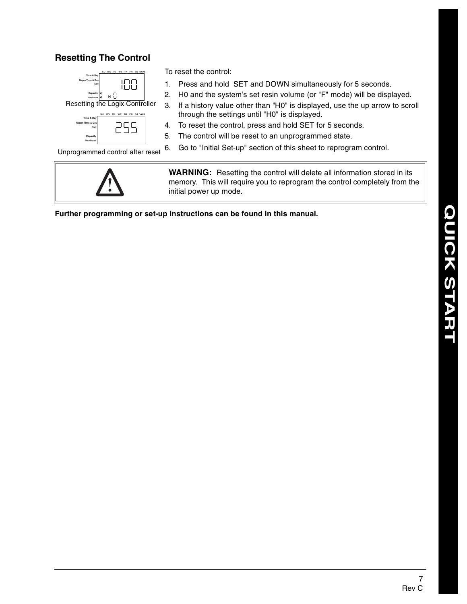#### **Resetting The Control**



Unprogrammed control after reset



To reset the control:

- 1. Press and hold SET and DOWN simultaneously for 5 seconds.
- 2. H0 and the system's set resin volume (or "F" mode) will be displayed.
- 3. If a history value other than "H0" is displayed, use the up arrow to scroll through the settings until "H0" is displayed.
- 4. To reset the control, press and hold SET for 5 seconds.
- 5. The control will be reset to an unprogrammed state.
- 6. Go to "Initial Set-up" section of this sheet to reprogram control.

**WARNING:** Resetting the control will delete all information stored in its memory. This will require you to reprogram the control completely from the initial power up mode.

**Further programming or set-up instructions can be found in this manual.**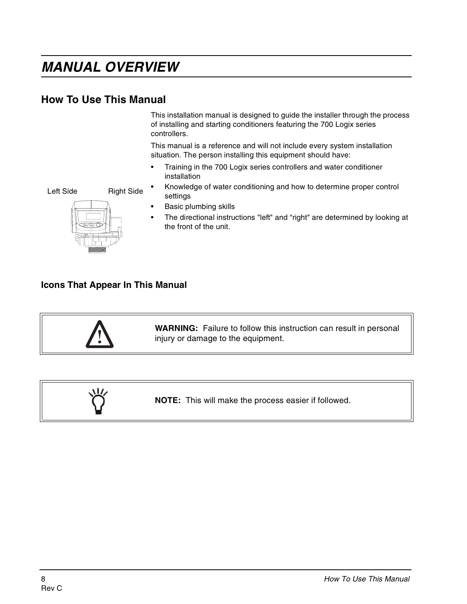# **MANUAL OVERVIEW**

## **How To Use This Manual**

This installation manual is designed to guide the installer through the process of installing and starting conditioners featuring the 700 Logix series controllers.

This manual is a reference and will not include every system installation situation. The person installing this equipment should have:

- Training in the 700 Logix series controllers and water conditioner installation
- Knowledge of water conditioning and how to determine proper control settings
- Basic plumbing skills
- The directional instructions "left" and "right" are determined by looking at the front of the unit.

#### **Icons That Appear In This Manual**





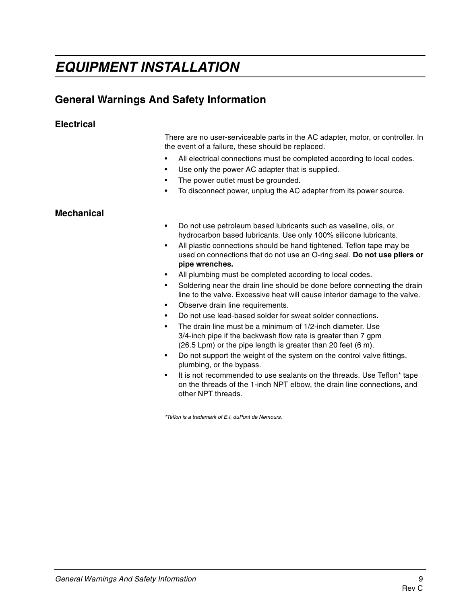# **EQUIPMENT INSTALLATION**

# **General Warnings And Safety Information**

#### **Electrical**

There are no user-serviceable parts in the AC adapter, motor, or controller. In the event of a failure, these should be replaced.

- All electrical connections must be completed according to local codes.
- Use only the power AC adapter that is supplied.
- The power outlet must be grounded.
- To disconnect power, unplug the AC adapter from its power source.

#### **Mechanical**

- Do not use petroleum based lubricants such as vaseline, oils, or hydrocarbon based lubricants. Use only 100% silicone lubricants.
- All plastic connections should be hand tightened. Teflon tape may be used on connections that do not use an O-ring seal. **Do not use pliers or pipe wrenches.**
- All plumbing must be completed according to local codes.
- Soldering near the drain line should be done before connecting the drain line to the valve. Excessive heat will cause interior damage to the valve.
- Observe drain line requirements.
- Do not use lead-based solder for sweat solder connections.
- The drain line must be a minimum of 1/2-inch diameter. Use 3/4-inch pipe if the backwash flow rate is greater than 7 gpm (26.5 Lpm) or the pipe length is greater than 20 feet (6 m).
- Do not support the weight of the system on the control valve fittings, plumbing, or the bypass.
- It is not recommended to use sealants on the threads. Use Teflon\* tape on the threads of the 1-inch NPT elbow, the drain line connections, and other NPT threads.

\*Teflon is a trademark of E.I. duPont de Nemours.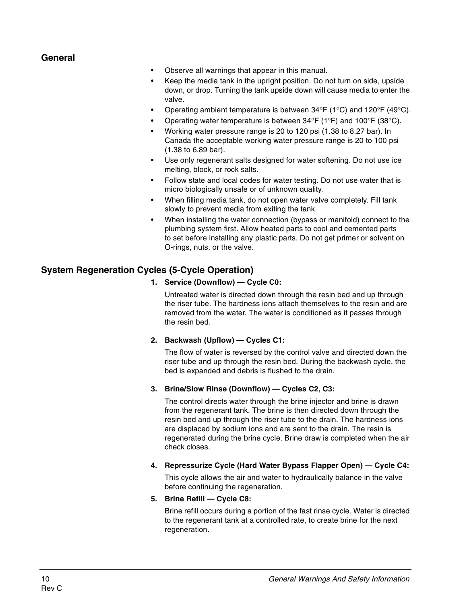#### **General**

- Observe all warnings that appear in this manual.
- Keep the media tank in the upright position. Do not turn on side, upside down, or drop. Turning the tank upside down will cause media to enter the valve.
- Operating ambient temperature is between 34°F (1°C) and 120°F (49°C).
- Operating water temperature is between 34°F (1°F) and 100°F (38°C).
- Working water pressure range is 20 to 120 psi (1.38 to 8.27 bar). In Canada the acceptable working water pressure range is 20 to 100 psi (1.38 to 6.89 bar).
- Use only regenerant salts designed for water softening. Do not use ice melting, block, or rock salts.
- Follow state and local codes for water testing. Do not use water that is micro biologically unsafe or of unknown quality.
- When filling media tank, do not open water valve completely. Fill tank slowly to prevent media from exiting the tank.
- When installing the water connection (bypass or manifold) connect to the plumbing system first. Allow heated parts to cool and cemented parts to set before installing any plastic parts. Do not get primer or solvent on O-rings, nuts, or the valve.

#### **System Regeneration Cycles (5-Cycle Operation)**

#### **1. Service (Downflow) — Cycle C0:**

Untreated water is directed down through the resin bed and up through the riser tube. The hardness ions attach themselves to the resin and are removed from the water. The water is conditioned as it passes through the resin bed.

#### **2. Backwash (Upflow) — Cycles C1:**

The flow of water is reversed by the control valve and directed down the riser tube and up through the resin bed. During the backwash cycle, the bed is expanded and debris is flushed to the drain.

#### **3. Brine/Slow Rinse (Downflow) — Cycles C2, C3:**

The control directs water through the brine injector and brine is drawn from the regenerant tank. The brine is then directed down through the resin bed and up through the riser tube to the drain. The hardness ions are displaced by sodium ions and are sent to the drain. The resin is regenerated during the brine cycle. Brine draw is completed when the air check closes.

**4. Repressurize Cycle (Hard Water Bypass Flapper Open) — Cycle C4:**

This cycle allows the air and water to hydraulically balance in the valve before continuing the regeneration.

#### **5. Brine Refill — Cycle C8:**

Brine refill occurs during a portion of the fast rinse cycle. Water is directed to the regenerant tank at a controlled rate, to create brine for the next regeneration.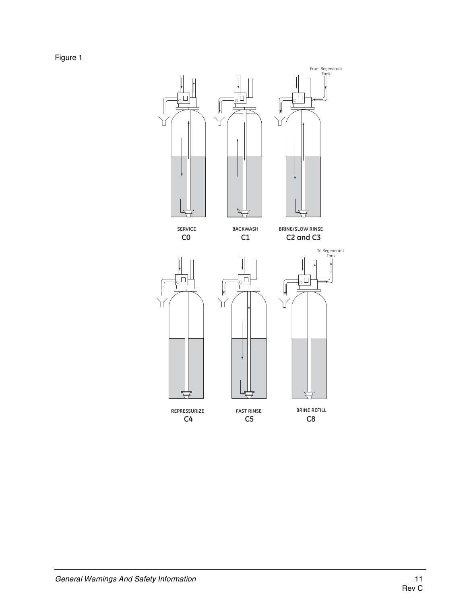Figure 1

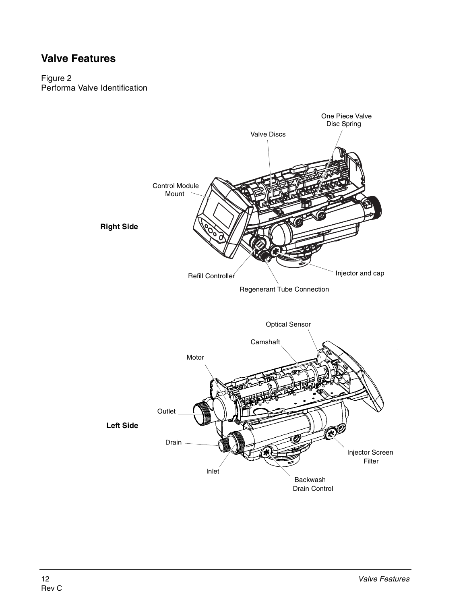## **Valve Features**

#### Figure 2 Performa Valve Identification

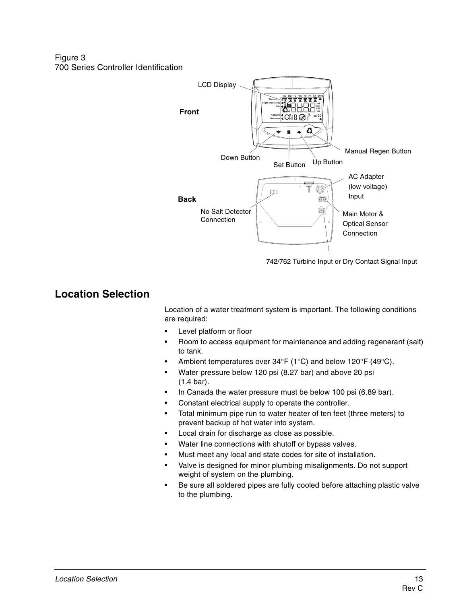Figure 3 700 Series Controller Identification



742/762 Turbine Input or Dry Contact Signal Input

## **Location Selection**

Location of a water treatment system is important. The following conditions are required:

- Level platform or floor
- Room to access equipment for maintenance and adding regenerant (salt) to tank.
- Ambient temperatures over  $34^{\circ}F$  (1°C) and below 120°F (49°C).
- Water pressure below 120 psi (8.27 bar) and above 20 psi (1.4 bar).
- In Canada the water pressure must be below 100 psi (6.89 bar).
- Constant electrical supply to operate the controller.
- Total minimum pipe run to water heater of ten feet (three meters) to prevent backup of hot water into system.
- Local drain for discharge as close as possible.
- Water line connections with shutoff or bypass valves.
- Must meet any local and state codes for site of installation.
- Valve is designed for minor plumbing misalignments. Do not support weight of system on the plumbing.
- Be sure all soldered pipes are fully cooled before attaching plastic valve to the plumbing.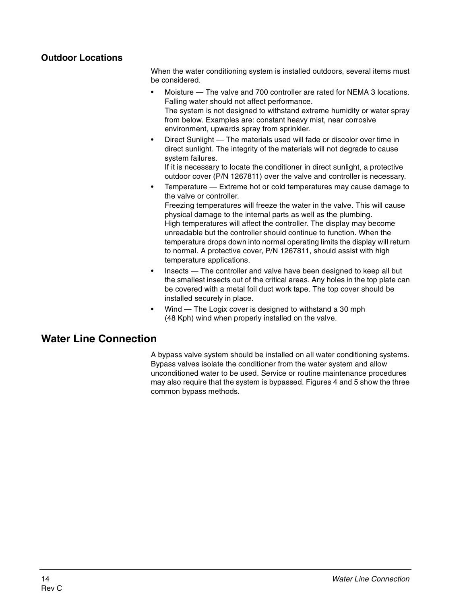#### **Outdoor Locations**

When the water conditioning system is installed outdoors, several items must be considered.

- Moisture The valve and 700 controller are rated for NEMA 3 locations. Falling water should not affect performance. The system is not designed to withstand extreme humidity or water spray from below. Examples are: constant heavy mist, near corrosive environment, upwards spray from sprinkler.
- Direct Sunlight The materials used will fade or discolor over time in direct sunlight. The integrity of the materials will not degrade to cause system failures.

If it is necessary to locate the conditioner in direct sunlight, a protective outdoor cover (P/N 1267811) over the valve and controller is necessary.

- Temperature Extreme hot or cold temperatures may cause damage to the valve or controller. Freezing temperatures will freeze the water in the valve. This will cause physical damage to the internal parts as well as the plumbing. High temperatures will affect the controller. The display may become unreadable but the controller should continue to function. When the temperature drops down into normal operating limits the display will return to normal. A protective cover, P/N 1267811, should assist with high temperature applications.
- Insects The controller and valve have been designed to keep all but the smallest insects out of the critical areas. Any holes in the top plate can be covered with a metal foil duct work tape. The top cover should be installed securely in place.
- Wind The Logix cover is designed to withstand a 30 mph (48 Kph) wind when properly installed on the valve.

## **Water Line Connection**

A bypass valve system should be installed on all water conditioning systems. Bypass valves isolate the conditioner from the water system and allow unconditioned water to be used. Service or routine maintenance procedures may also require that the system is bypassed. Figures 4 and 5 show the three common bypass methods.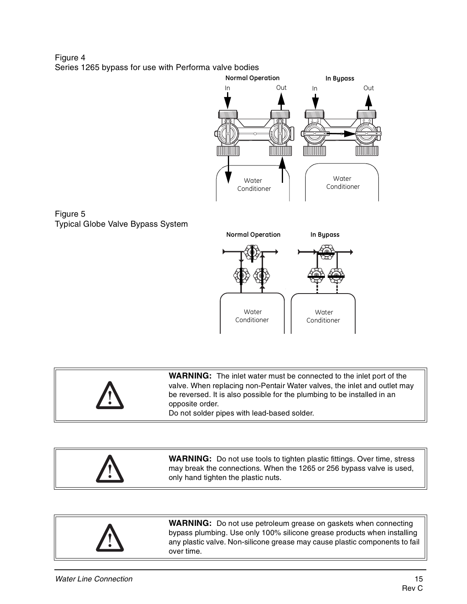Figure 4 Series 1265 bypass for use with Performa valve bodies



| <b>A</b> | <b>WARNING:</b> The inlet water must be connected to the inlet port of the<br>valve. When replacing non-Pentair Water valves, the inlet and outlet may<br>be reversed. It is also possible for the plumbing to be installed in an<br>opposite order.<br>Do not solder pipes with lead-based solder. |
|----------|-----------------------------------------------------------------------------------------------------------------------------------------------------------------------------------------------------------------------------------------------------------------------------------------------------|
|----------|-----------------------------------------------------------------------------------------------------------------------------------------------------------------------------------------------------------------------------------------------------------------------------------------------------|

| <b>WARNING:</b> Do not use tools to tighten plastic fittings. Over time, stress<br>may break the connections. When the 1265 or 256 bypass valve is used,<br>only hand tighten the plastic nuts. |
|-------------------------------------------------------------------------------------------------------------------------------------------------------------------------------------------------|
|-------------------------------------------------------------------------------------------------------------------------------------------------------------------------------------------------|



Figure 5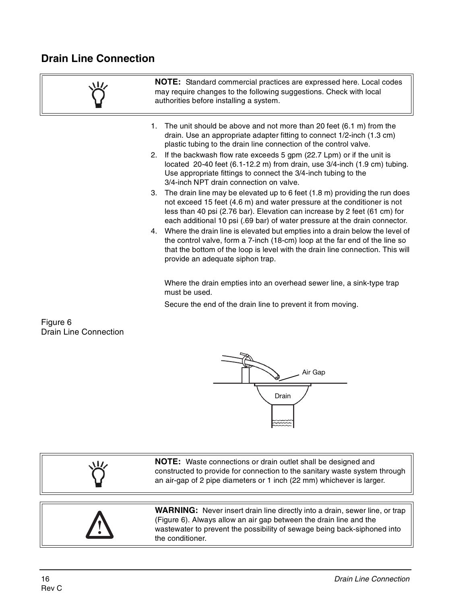# **Drain Line Connection**

|    | <b>NOTE:</b> Standard commercial practices are expressed here. Local codes<br>may require changes to the following suggestions. Check with local<br>authorities before installing a system.                                                                                                                         |  |  |  |
|----|---------------------------------------------------------------------------------------------------------------------------------------------------------------------------------------------------------------------------------------------------------------------------------------------------------------------|--|--|--|
| 1. | The unit should be above and not more than 20 feet (6.1 m) from the<br>drain. Use an appropriate adapter fitting to connect 1/2-inch (1.3 cm)<br>plastic tubing to the drain line connection of the control valve.                                                                                                  |  |  |  |
|    | 2. If the backwash flow rate exceeds 5 gpm (22.7 Lpm) or if the unit is<br>located 20-40 feet (6.1-12.2 m) from drain, use 3/4-inch (1.9 cm) tubing.<br>Use appropriate fittings to connect the 3/4-inch tubing to the<br>3/4-inch NPT drain connection on valve.                                                   |  |  |  |
|    | 3. The drain line may be elevated up to 6 feet (1.8 m) providing the run does<br>not exceed 15 feet (4.6 m) and water pressure at the conditioner is not<br>less than 40 psi (2.76 bar). Elevation can increase by 2 feet (61 cm) for<br>each additional 10 psi (.69 bar) of water pressure at the drain connector. |  |  |  |
| 4. | Where the drain line is elevated but empties into a drain below the level of<br>the control valve, form a 7-inch (18-cm) loop at the far end of the line so<br>that the bottom of the loop is level with the drain line connection. This will<br>provide an adequate siphon trap.                                   |  |  |  |
|    | Where the drain empties into an overhead sewer line, a sink-type trap                                                                                                                                                                                                                                               |  |  |  |

must be used.

Secure the end of the drain line to prevent it from moving.

Figure 6 Drain Line Connection



| <b>NOTE:</b> Waste connections or drain outlet shall be designed and<br>冰<br>constructed to provide for connection to the sanitary waste system through<br>an air-gap of 2 pipe diameters or 1 inch (22 mm) whichever is larger. |
|----------------------------------------------------------------------------------------------------------------------------------------------------------------------------------------------------------------------------------|
|----------------------------------------------------------------------------------------------------------------------------------------------------------------------------------------------------------------------------------|

**WARNING:** Never insert drain line directly into a drain, sewer line, or trap (Figure 6). Always allow an air gap between the drain line and the wastewater to prevent the possibility of sewage being back-siphoned into the conditioner.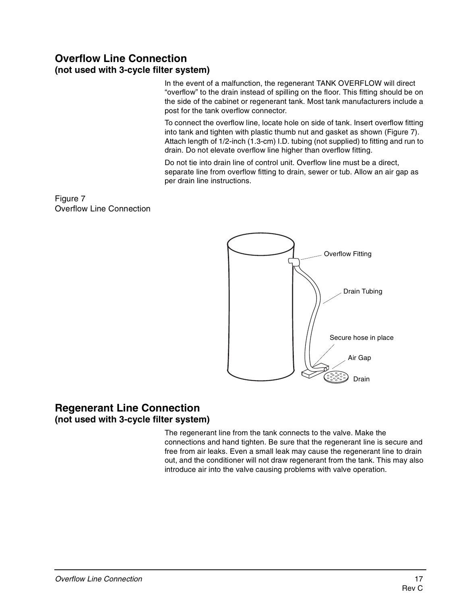## **Overflow Line Connection (not used with 3-cycle filter system)**

In the event of a malfunction, the regenerant TANK OVERFLOW will direct "overflow" to the drain instead of spilling on the floor. This fitting should be on the side of the cabinet or regenerant tank. Most tank manufacturers include a post for the tank overflow connector.

To connect the overflow line, locate hole on side of tank. Insert overflow fitting into tank and tighten with plastic thumb nut and gasket as shown (Figure 7). Attach length of 1/2-inch (1.3-cm) I.D. tubing (not supplied) to fitting and run to drain. Do not elevate overflow line higher than overflow fitting.

Do not tie into drain line of control unit. Overflow line must be a direct, separate line from overflow fitting to drain, sewer or tub. Allow an air gap as per drain line instructions.

Figure 7 Overflow Line Connection



#### **Regenerant Line Connection (not used with 3-cycle filter system)**

The regenerant line from the tank connects to the valve. Make the connections and hand tighten. Be sure that the regenerant line is secure and free from air leaks. Even a small leak may cause the regenerant line to drain out, and the conditioner will not draw regenerant from the tank. This may also introduce air into the valve causing problems with valve operation.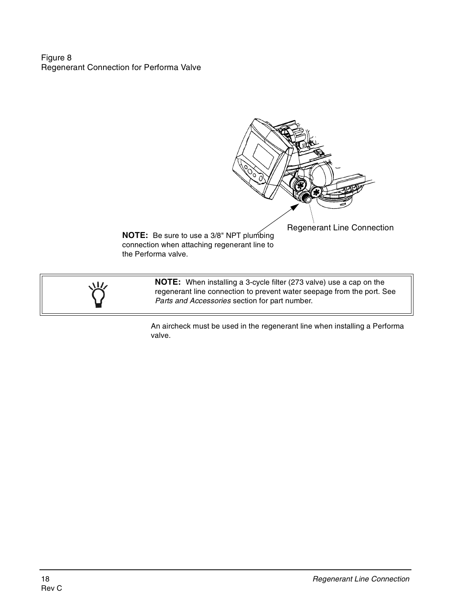Figure 8 Regenerant Connection for Performa Valve



Regenerant Line Connection **NOTE:** Be sure to use a 3/8" NPT plumbing connection when attaching regenerant line to the Performa valve.

> **NOTE:** When installing a 3-cycle filter (273 valve) use a cap on the regenerant line connection to prevent water seepage from the port. See Parts and Accessories section for part number.

An aircheck must be used in the regenerant line when installing a Performa valve.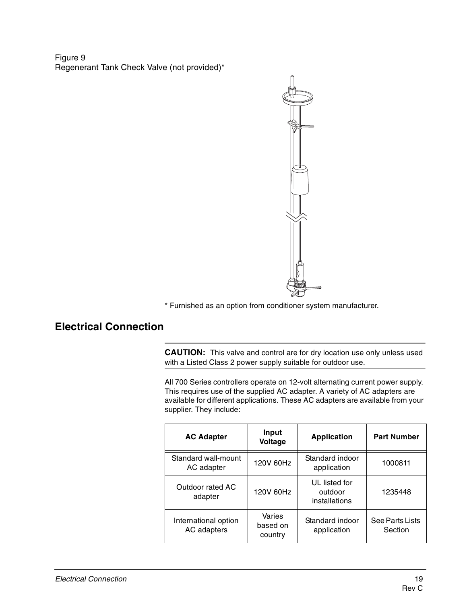Figure 9 Regenerant Tank Check Valve (not provided)\*



\* Furnished as an option from conditioner system manufacturer.

# **Electrical Connection**

**CAUTION:** This valve and control are for dry location use only unless used with a Listed Class 2 power supply suitable for outdoor use.

All 700 Series controllers operate on 12-volt alternating current power supply. This requires use of the supplied AC adapter. A variety of AC adapters are available for different applications. These AC adapters are available from your supplier. They include:

| Input<br><b>AC Adapter</b><br>Voltage          |                               | <b>Application</b>                        | <b>Part Number</b>         |
|------------------------------------------------|-------------------------------|-------------------------------------------|----------------------------|
| Standard wall-mount<br>120V 60Hz<br>AC adapter |                               | Standard indoor<br>application            | 1000811                    |
| Outdoor rated AC<br>120V 60Hz<br>adapter       |                               | UL listed for<br>outdoor<br>installations | 1235448                    |
| International option<br>AC adapters            | Varies<br>based on<br>country | Standard indoor<br>application            | See Parts Lists<br>Section |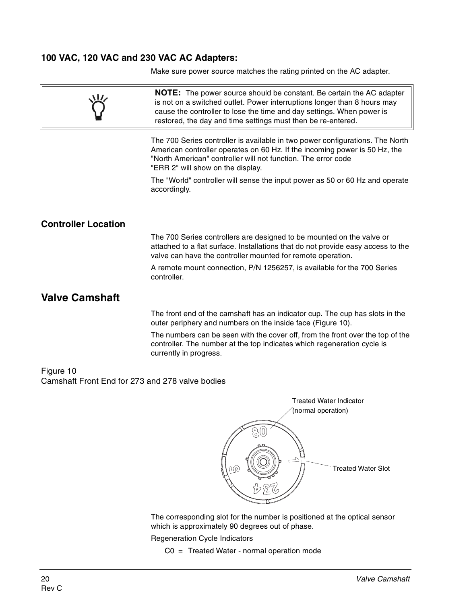#### **100 VAC, 120 VAC and 230 VAC AC Adapters:**

Make sure power source matches the rating printed on the AC adapter.

|                                                              | <b>NOTE:</b> The power source should be constant. Be certain the AC adapter<br>is not on a switched outlet. Power interruptions longer than 8 hours may<br>cause the controller to lose the time and day settings. When power is<br>restored, the day and time settings must then be re-entered. |
|--------------------------------------------------------------|--------------------------------------------------------------------------------------------------------------------------------------------------------------------------------------------------------------------------------------------------------------------------------------------------|
|                                                              | The 700 Series controller is available in two power configurations. The North<br>American controller operates on 60 Hz. If the incoming power is 50 Hz, the<br>"North American" controller will not function. The error code<br>"ERR 2" will show on the display.                                |
|                                                              | The "World" controller will sense the input power as 50 or 60 Hz and operate<br>accordingly.                                                                                                                                                                                                     |
| <b>Controller Location</b>                                   |                                                                                                                                                                                                                                                                                                  |
|                                                              | The 700 Series controllers are designed to be mounted on the valve or<br>attached to a flat surface. Installations that do not provide easy access to the<br>valve can have the controller mounted for remote operation.                                                                         |
|                                                              | A remote mount connection, P/N 1256257, is available for the 700 Series<br>controller.                                                                                                                                                                                                           |
| <b>Valve Camshaft</b>                                        |                                                                                                                                                                                                                                                                                                  |
|                                                              | The front end of the camshaft has an indicator cup. The cup has slots in the<br>outer periphery and numbers on the inside face (Figure 10).                                                                                                                                                      |
|                                                              | The numbers can be seen with the cover off, from the front over the top of the<br>controller. The number at the top indicates which regeneration cycle is<br>currently in progress.                                                                                                              |
| Figure 10<br>Camshaft Front End for 273 and 278 valve bodies |                                                                                                                                                                                                                                                                                                  |



The corresponding slot for the number is positioned at the optical sensor which is approximately 90 degrees out of phase.

Regeneration Cycle Indicators

C0 = Treated Water - normal operation mode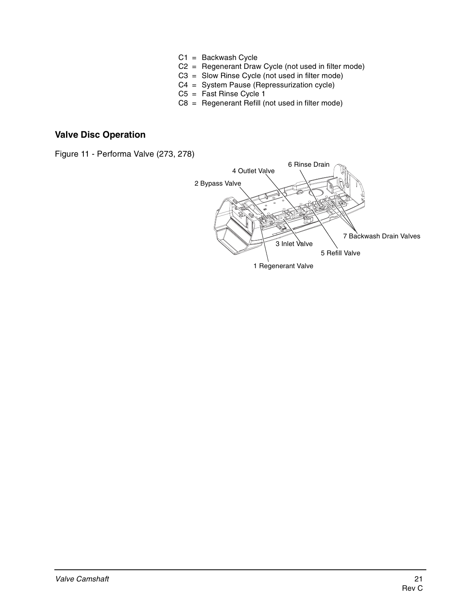- C1 = Backwash Cycle
- C2 = Regenerant Draw Cycle (not used in filter mode)
- C3 = Slow Rinse Cycle (not used in filter mode)
- C4 = System Pause (Repressurization cycle)
- $C5 =$  Fast Rinse Cycle 1
- $C8 =$  Regenerant Refill (not used in filter mode)

#### **Valve Disc Operation**

Figure 11 - Performa Valve (273, 278)

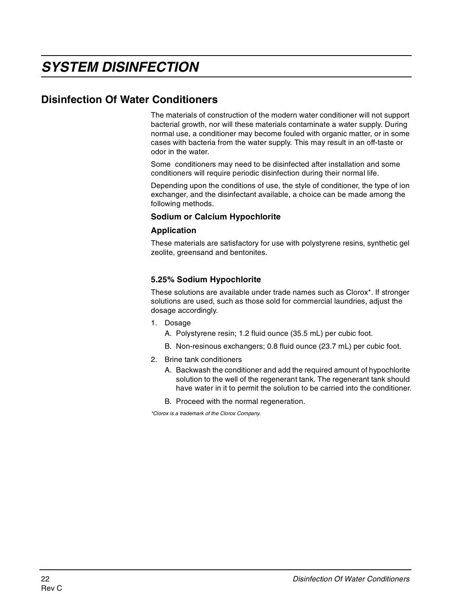## **Disinfection Of Water Conditioners**

The materials of construction of the modern water conditioner will not support bacterial growth, nor will these materials contaminate a water supply. During normal use, a conditioner may become fouled with organic matter, or in some cases with bacteria from the water supply. This may result in an off-taste or odor in the water.

Some conditioners may need to be disinfected after installation and some conditioners will require periodic disinfection during their normal life.

Depending upon the conditions of use, the style of conditioner, the type of ion exchanger, and the disinfectant available, a choice can be made among the following methods.

#### **Sodium or Calcium Hypochlorite**

#### **Application**

These materials are satisfactory for use with polystyrene resins, synthetic gel zeolite, greensand and bentonites.

#### **5.25% Sodium Hypochlorite**

These solutions are available under trade names such as Clorox\*. If stronger solutions are used, such as those sold for commercial laundries, adjust the dosage accordingly.

- 1. Dosage
	- A. Polystyrene resin; 1.2 fluid ounce (35.5 mL) per cubic foot.
	- B. Non-resinous exchangers; 0.8 fluid ounce (23.7 mL) per cubic foot.
- 2. Brine tank conditioners
	- A. Backwash the conditioner and add the required amount of hypochlorite solution to the well of the regenerant tank. The regenerant tank should have water in it to permit the solution to be carried into the conditioner.
	- B. Proceed with the normal regeneration.

\*Clorox is a trademark of the Clorox Company.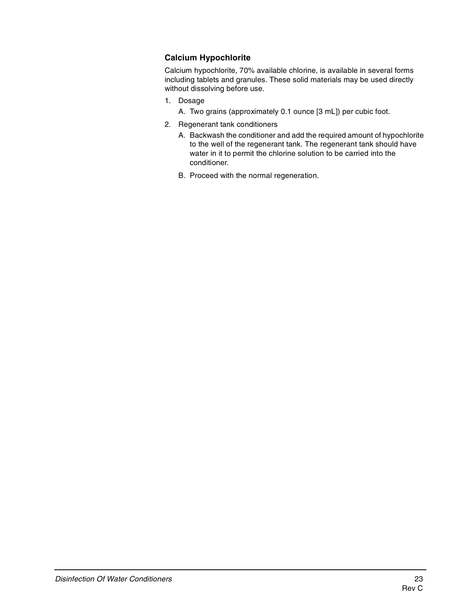#### **Calcium Hypochlorite**

Calcium hypochlorite, 70% available chlorine, is available in several forms including tablets and granules. These solid materials may be used directly without dissolving before use.

- 1. Dosage
	- A. Two grains (approximately 0.1 ounce [3 mL]) per cubic foot.
- 2. Regenerant tank conditioners
	- A. Backwash the conditioner and add the required amount of hypochlorite to the well of the regenerant tank. The regenerant tank should have water in it to permit the chlorine solution to be carried into the conditioner.
	- B. Proceed with the normal regeneration.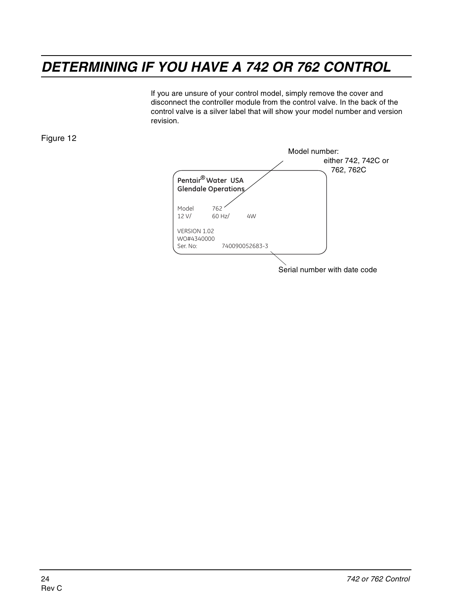# **DETERMINING IF YOU HAVE A 742 OR 762 CONTROL**

If you are unsure of your control model, simply remove the cover and disconnect the controller module from the control valve. In the back of the control valve is a silver label that will show your model number and version revision.

Figure 12



Serial number with date code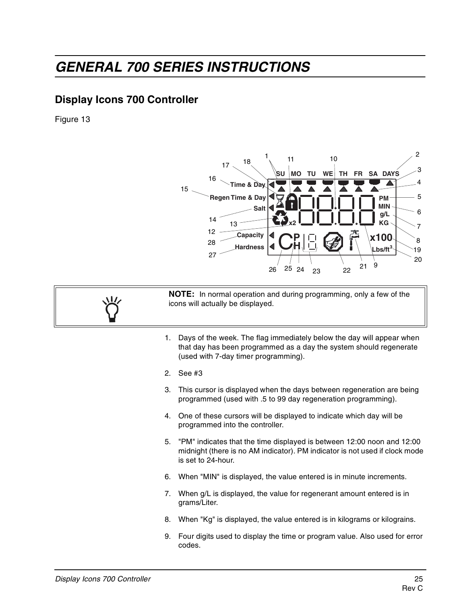# **GENERAL 700 SERIES INSTRUCTIONS**

## **Display Icons 700 Controller**

Figure 13



**NOTE:** In normal operation and during programming, only a few of the icons will actually be displayed.

- 1. Days of the week. The flag immediately below the day will appear when that day has been programmed as a day the system should regenerate (used with 7-day timer programming).
- 2. See #3
- 3. This cursor is displayed when the days between regeneration are being programmed (used with .5 to 99 day regeneration programming).
- 4. One of these cursors will be displayed to indicate which day will be programmed into the controller.
- 5. "PM" indicates that the time displayed is between 12:00 noon and 12:00 midnight (there is no AM indicator). PM indicator is not used if clock mode is set to 24-hour.
- 6. When "MIN" is displayed, the value entered is in minute increments.
- 7. When g/L is displayed, the value for regenerant amount entered is in grams/Liter.
- 8. When "Kg" is displayed, the value entered is in kilograms or kilograins.
- 9. Four digits used to display the time or program value. Also used for error codes.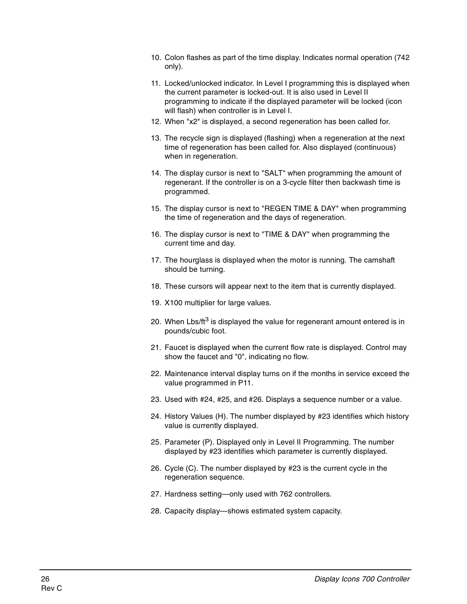- 10. Colon flashes as part of the time display. Indicates normal operation (742 only).
- 11. Locked/unlocked indicator. In Level I programming this is displayed when the current parameter is locked-out. It is also used in Level II programming to indicate if the displayed parameter will be locked (icon will flash) when controller is in Level I.
- 12. When "x2" is displayed, a second regeneration has been called for.
- 13. The recycle sign is displayed (flashing) when a regeneration at the next time of regeneration has been called for. Also displayed (continuous) when in regeneration.
- 14. The display cursor is next to "SALT" when programming the amount of regenerant. If the controller is on a 3-cycle filter then backwash time is programmed.
- 15. The display cursor is next to "REGEN TIME & DAY" when programming the time of regeneration and the days of regeneration.
- 16. The display cursor is next to "TIME & DAY" when programming the current time and day.
- 17. The hourglass is displayed when the motor is running. The camshaft should be turning.
- 18. These cursors will appear next to the item that is currently displayed.
- 19. X100 multiplier for large values.
- 20. When Lbs/ $tt^3$  is displayed the value for regenerant amount entered is in pounds/cubic foot.
- 21. Faucet is displayed when the current flow rate is displayed. Control may show the faucet and "0", indicating no flow.
- 22. Maintenance interval display turns on if the months in service exceed the value programmed in P11.
- 23. Used with #24, #25, and #26. Displays a sequence number or a value.
- 24. History Values (H). The number displayed by #23 identifies which history value is currently displayed.
- 25. Parameter (P). Displayed only in Level II Programming. The number displayed by #23 identifies which parameter is currently displayed.
- 26. Cycle (C). The number displayed by #23 is the current cycle in the regeneration sequence.
- 27. Hardness setting—only used with 762 controllers.
- 28. Capacity display—shows estimated system capacity.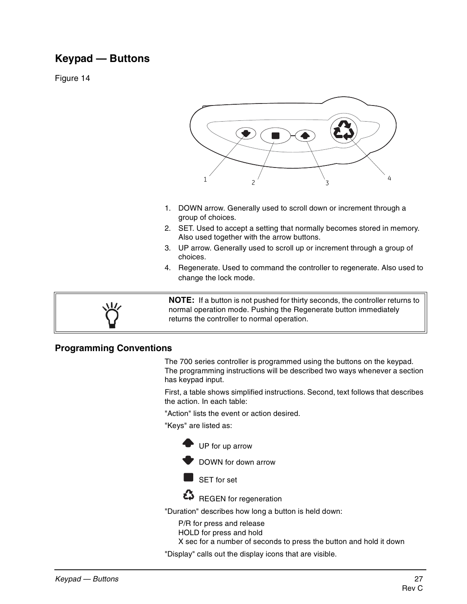# **Keypad — Buttons**

Figure 14



- 1. DOWN arrow. Generally used to scroll down or increment through a group of choices.
- 2. SET. Used to accept a setting that normally becomes stored in memory. Also used together with the arrow buttons.
- 3. UP arrow. Generally used to scroll up or increment through a group of choices.
- 4. Regenerate. Used to command the controller to regenerate. Also used to change the lock mode.



**NOTE:** If a button is not pushed for thirty seconds, the controller returns to normal operation mode. Pushing the Regenerate button immediately returns the controller to normal operation.

#### **Programming Conventions**

The 700 series controller is programmed using the buttons on the keypad. The programming instructions will be described two ways whenever a section has keypad input.

First, a table shows simplified instructions. Second, text follows that describes the action. In each table:

"Action" lists the event or action desired.

"Keys" are listed as:



DOWN for down arrow

SET for set



REGEN for regeneration

"Duration" describes how long a button is held down:

P/R for press and release HOLD for press and hold

X sec for a number of seconds to press the button and hold it down

"Display" calls out the display icons that are visible.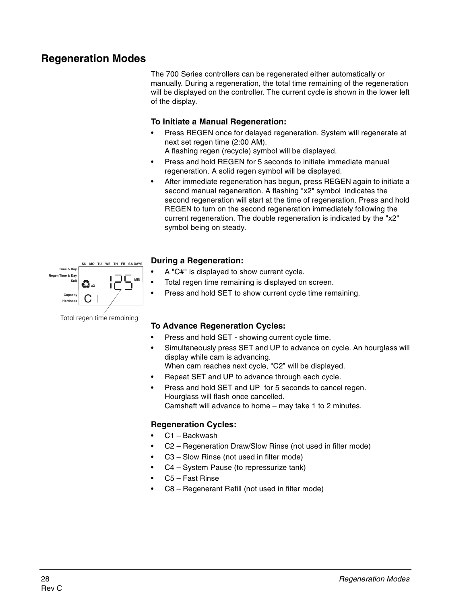## **Regeneration Modes**

The 700 Series controllers can be regenerated either automatically or manually. During a regeneration, the total time remaining of the regeneration will be displayed on the controller. The current cycle is shown in the lower left of the display.

#### **To Initiate a Manual Regeneration:**

- Press REGEN once for delayed regeneration. System will regenerate at next set regen time (2:00 AM).
	- A flashing regen (recycle) symbol will be displayed.
- Press and hold REGEN for 5 seconds to initiate immediate manual regeneration. A solid regen symbol will be displayed.
- After immediate regeneration has begun, press REGEN again to initiate a second manual regeneration. A flashing "x2" symbol indicates the second regeneration will start at the time of regeneration. Press and hold REGEN to turn on the second regeneration immediately following the current regeneration. The double regeneration is indicated by the "x2" symbol being on steady.



#### **During a Regeneration:**

- A "C#" is displayed to show current cycle.
- Total regen time remaining is displayed on screen.
- Press and hold SET to show current cycle time remaining.

#### **To Advance Regeneration Cycles:**

- Press and hold SET showing current cycle time.
- Simultaneously press SET and UP to advance on cycle. An hourglass will display while cam is advancing. When cam reaches next cycle, "C2" will be displayed.
- Repeat SET and UP to advance through each cycle.
- Press and hold SET and UP for 5 seconds to cancel regen. Hourglass will flash once cancelled. Camshaft will advance to home – may take 1 to 2 minutes.

#### **Regeneration Cycles:**

- C1 Backwash
- C2 Regeneration Draw/Slow Rinse (not used in filter mode)
- C3 Slow Rinse (not used in filter mode)
- C4 System Pause (to repressurize tank)
- C5 Fast Rinse
- C8 Regenerant Refill (not used in filter mode)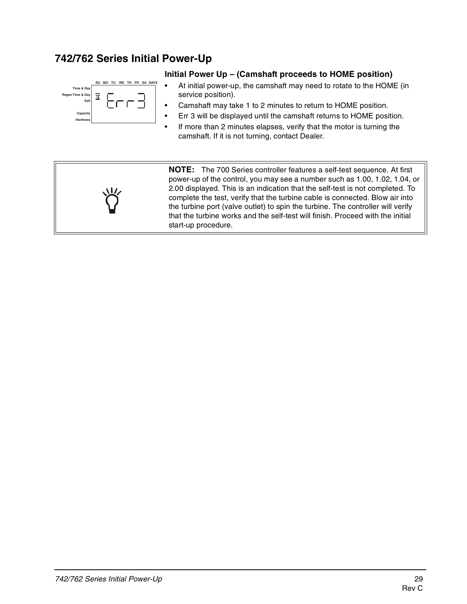## **742/762 Series Initial Power-Up**



#### **Initial Power Up – (Camshaft proceeds to HOME position)**

- At initial power-up, the camshaft may need to rotate to the HOME (in service position).
- Camshaft may take 1 to 2 minutes to return to HOME position.
- Err 3 will be displayed until the camshaft returns to HOME position.
- If more than 2 minutes elapses, verify that the motor is turning the camshaft. If it is not turning, contact Dealer.



**NOTE:** The 700 Series controller features a self-test sequence. At first power-up of the control, you may see a number such as 1.00, 1.02, 1.04, or 2.00 displayed. This is an indication that the self-test is not completed. To complete the test, verify that the turbine cable is connected. Blow air into the turbine port (valve outlet) to spin the turbine. The controller will verify that the turbine works and the self-test will finish. Proceed with the initial start-up procedure.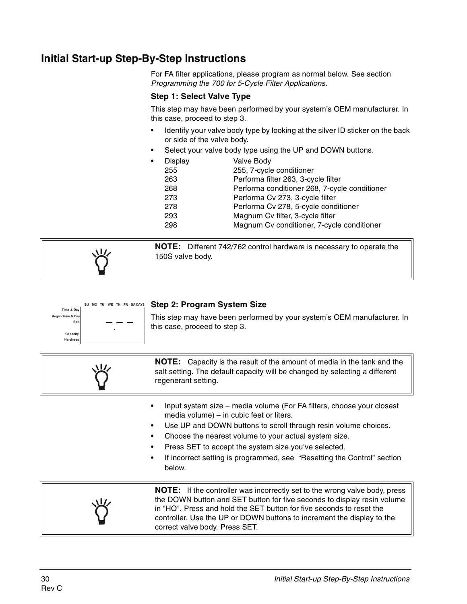# **Initial Start-up Step-By-Step Instructions**

For FA filter applications, please program as normal below. See section Programming the 700 for 5-Cycle Filter Applications.

#### **Step 1: Select Valve Type**

This step may have been performed by your system's OEM manufacturer. In this case, proceed to step 3.

- Identify your valve body type by looking at the silver ID sticker on the back or side of the valve body.
- Select your valve body type using the UP and DOWN buttons.
- Display Valve Body 255 255, 7-cycle conditioner 263 Performa filter 263, 3-cycle filter 268 Performa conditioner 268, 7-cycle conditioner 273 Performa Cv 273, 3-cycle filter 278 Performa Cv 278, 5-cycle conditioner 293 Magnum Cv filter, 3-cycle filter 298 Magnum Cv conditioner, 7-cycle conditioner

**NOTE:** Different 742/762 control hardware is necessary to operate the 150S valve body.





#### **NOTE:** Capacity is the result of the amount of media in the tank and the salt setting. The default capacity will be changed by selecting a different regenerant setting.

- Input system size media volume (For FA filters, choose your closest media volume) – in cubic feet or liters.
- Use UP and DOWN buttons to scroll through resin volume choices.
- Choose the nearest volume to your actual system size.
- Press SET to accept the system size you've selected.
- If incorrect setting is programmed, see "Resetting the Control" section below.



**NOTE:** If the controller was incorrectly set to the wrong valve body, press the DOWN button and SET button for five seconds to display resin volume in "HO". Press and hold the SET button for five seconds to reset the controller. Use the UP or DOWN buttons to increment the display to the correct valve body. Press SET.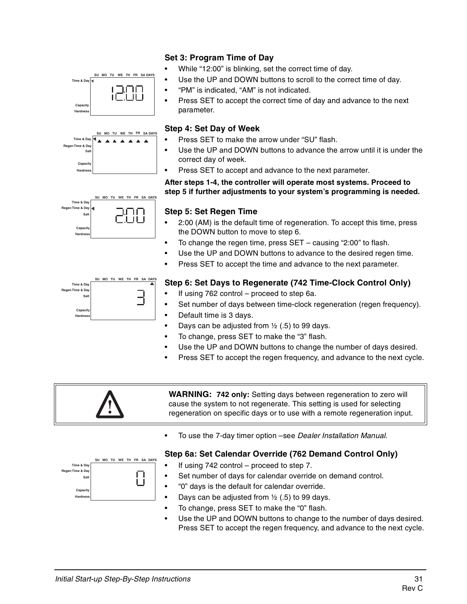

- While "12:00" is blinking, set the correct time of day.
- Use the UP and DOWN buttons to scroll to the correct time of day.
- "PM" is indicated, "AM" is not indicated.
- Press SET to accept the correct time of day and advance to the next parameter.

#### **Step 4: Set Day of Week**

- Press SET to make the arrow under "SU" flash.
- Use the UP and DOWN buttons to advance the arrow until it is under the correct day of week.
- Press SET to accept and advance to the next parameter.

#### **After steps 1-4, the controller will operate most systems. Proceed to step 5 if further adjustments to your system's programming is needed.**



**SU MO TU WE TH FR SA DAYS**

コロロ

**SU MO TU WE TH** 

**Time & Day**

Capac **Hardness**

**Time & Day Regen Time & Day Salt**

> Cap **Hardness**

#### **Step 5: Set Regen Time**

- 2:00 (AM) is the default time of regeneration. To accept this time, press the DOWN button to move to step 6.
- To change the regen time, press SET causing "2:00" to flash.
- Use the UP and DOWN buttons to advance to the desired regen time.
- Press SET to accept the time and advance to the next parameter.



#### **Step 6: Set Days to Regenerate (742 Time-Clock Control Only)**

- If using 762 control proceed to step 6a.
- Set number of days between time-clock regeneration (regen frequency).
- Default time is 3 days.
- Days can be adjusted from  $\frac{1}{2}$  (.5) to 99 days.
- To change, press SET to make the "3" flash.
- Use the UP and DOWN buttons to change the number of days desired.
- Press SET to accept the regen frequency, and advance to the next cycle.



**WARNING: 742 only:** Setting days between regeneration to zero will cause the system to not regenerate. This setting is used for selecting regeneration on specific days or to use with a remote regeneration input.

• To use the 7-day timer option –see Dealer Installation Manual.

#### **Step 6a: Set Calendar Override (762 Demand Control Only)**

- If using  $742$  control proceed to step 7.
- Set number of days for calendar override on demand control.
- "0" days is the default for calendar override.
- Days can be adjusted from  $\frac{1}{2}$  (.5) to 99 days.
- To change, press SET to make the "0" flash.
- Use the UP and DOWN buttons to change to the number of days desired. Press SET to accept the regen frequency, and advance to the next cycle.

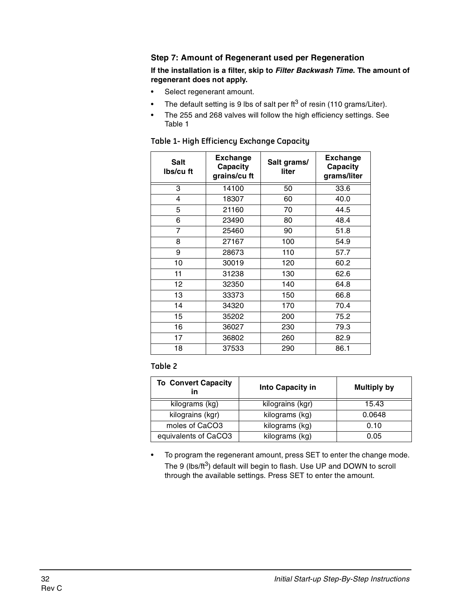#### **Step 7: Amount of Regenerant used per Regeneration**

#### **If the installation is a filter, skip to Filter Backwash Time. The amount of regenerant does not apply.**

- Select regenerant amount.
- The default setting is 9 lbs of salt per  $ft^3$  of resin (110 grams/Liter).
- The 255 and 268 valves will follow the high efficiency settings. See Table 1

| <b>Salt</b><br>Ibs/cu ft | <b>Exchange</b><br>Capacity<br>grains/cu ft | Salt grams/<br>liter | <b>Exchange</b><br>Capacity<br>grams/liter |  |  |
|--------------------------|---------------------------------------------|----------------------|--------------------------------------------|--|--|
| 3                        | 14100                                       | 50                   | 33.6                                       |  |  |
| 4                        | 18307                                       | 60                   | 40.0                                       |  |  |
| 5                        | 21160                                       | 70                   | 44.5                                       |  |  |
| 6                        | 23490                                       | 80                   | 48.4                                       |  |  |
| 7                        | 25460                                       | 90                   | 51.8                                       |  |  |
| 8                        | 27167                                       | 100                  | 54.9                                       |  |  |
| 9<br>28673               |                                             | 110                  | 57.7                                       |  |  |
| 10                       | 30019<br>11<br>31238                        |                      | 60.2                                       |  |  |
|                          |                                             |                      | 62.6                                       |  |  |
| 12                       | 32350                                       | 140                  | 64.8                                       |  |  |
| 13                       | 33373                                       | 150                  | 66.8                                       |  |  |
| 14                       | 34320                                       | 170                  | 70.4                                       |  |  |
| 15                       | 35202                                       |                      | 75.2                                       |  |  |
| 16                       | 36027                                       | 230                  | 79.3                                       |  |  |
| 17                       | 36802                                       | 260                  | 82.9                                       |  |  |
| 18<br>37533              |                                             | 290                  | 86.1                                       |  |  |

#### **Table 1- High Efficiency Exchange Capacity**

#### **Table 2**

| <b>To Convert Capacity</b><br>in | Into Capacity in | <b>Multiply by</b> |  |  |  |
|----------------------------------|------------------|--------------------|--|--|--|
| kilograms (kg)                   | kilograins (kgr) | 15.43              |  |  |  |
| kilograins (kgr)                 | kilograms (kg)   | 0.0648             |  |  |  |
| moles of CaCO3                   | kilograms (kg)   | 0.10               |  |  |  |
| equivalents of CaCO3             | kilograms (kg)   | 0.05               |  |  |  |

• To program the regenerant amount, press SET to enter the change mode. The 9 (lbs/ $ft^3$ ) default will begin to flash. Use UP and DOWN to scroll through the available settings. Press SET to enter the amount.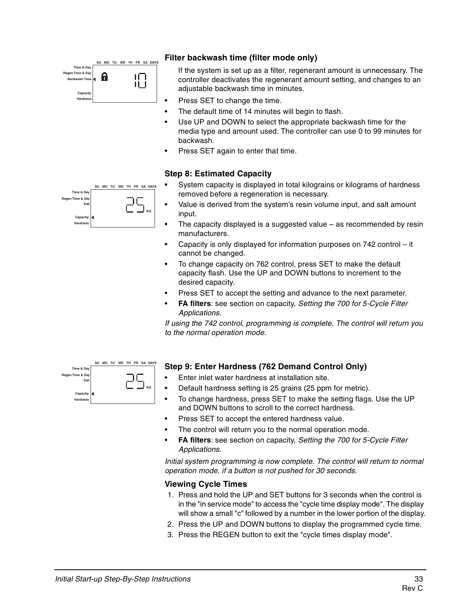

#### **Filter backwash time (filter mode only)**

If the system is set up as a filter, regenerant amount is unnecessary. The controller deactivates the regenerant amount setting, and changes to an adjustable backwash time in minutes.

- Press SET to change the time.
- The default time of 14 minutes will begin to flash.
- Use UP and DOWN to select the appropriate backwash time for the media type and amount used. The controller can use 0 to 99 minutes for backwash.
- Press SET again to enter that time.

#### **Step 8: Estimated Capacity**

- System capacity is displayed in total kilograins or kilograms of hardness removed before a regeneration is necessary.
- Value is derived from the system's resin volume input, and salt amount input.
- The capacity displayed is a suggested value  $-$  as recommended by resin manufacturers.
- Capacity is only displayed for information purposes on 742 control it cannot be changed.
- To change capacity on 762 control, press SET to make the default capacity flash. Use the UP and DOWN buttons to increment to the desired capacity.
- Press SET to accept the setting and advance to the next parameter.
- **FA filters:** see section on capacity, Setting the 700 for 5-Cycle Filter Applications.

If using the 742 control, programming is complete. The control will return you to the normal operation mode.



#### **Step 9: Enter Hardness (762 Demand Control Only)**

- Enter inlet water hardness at installation site.
- Default hardness setting is 25 grains (25 ppm for metric).
- To change hardness, press SET to make the setting flags. Use the UP and DOWN buttons to scroll to the correct hardness.
- Press SET to accept the entered hardness value.
- The control will return you to the normal operation mode.
- **FA filters**: see section on capacity, Setting the 700 for 5-Cycle Filter Applications.

Initial system programming is now complete. The control will return to normal operation mode, if a button is not pushed for 30 seconds.

#### **Viewing Cycle Times**

- 1. Press and hold the UP and SET buttons for 3 seconds when the control is in the "in service mode" to access the "cycle time display mode". The display will show a small "c" followed by a number in the lower portion of the display.
- 2. Press the UP and DOWN buttons to display the programmed cycle time.
- 3. Press the REGEN button to exit the "cycle times display mode".

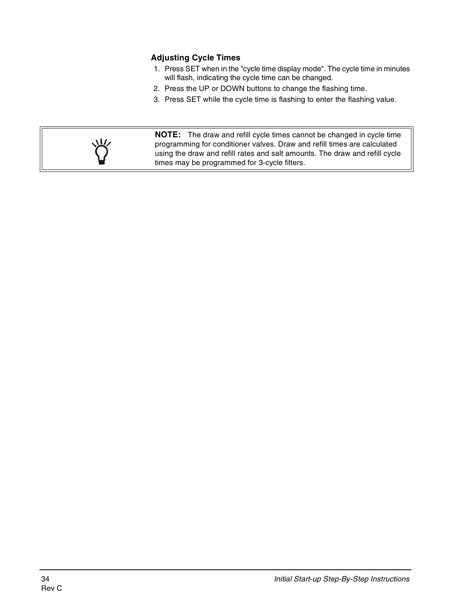#### **Adjusting Cycle Times**

- 1. Press SET when in the "cycle time display mode". The cycle time in minutes will flash, indicating the cycle time can be changed.
- 2. Press the UP or DOWN buttons to change the flashing time.
- 3. Press SET while the cycle time is flashing to enter the flashing value.



**NOTE:** The draw and refill cycle times cannot be changed in cycle time programming for conditioner valves. Draw and refill times are calculated using the draw and refill rates and salt amounts. The draw and refill cycle times may be programmed for 3-cycle filters.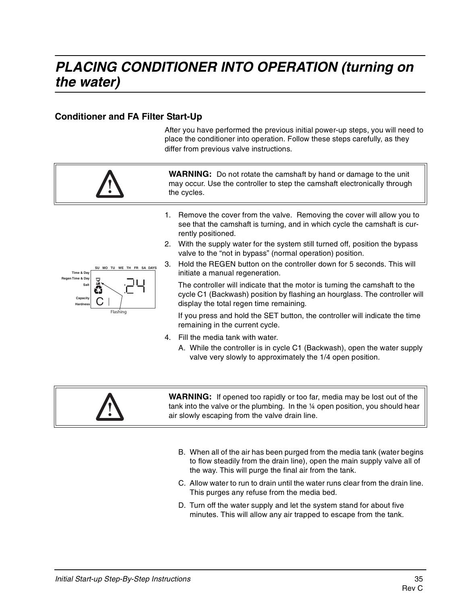# **PLACING CONDITIONER INTO OPERATION (turning on the water)**

#### **Conditioner and FA Filter Start-Up**

After you have performed the previous initial power-up steps, you will need to place the conditioner into operation. Follow these steps carefully, as they differ from previous valve instructions.



A. While the controller is in cycle C1 (Backwash), open the water supply valve very slowly to approximately the 1/4 open position.



**WARNING:** If opened too rapidly or too far, media may be lost out of the tank into the valve or the plumbing. In the ¼ open position, you should hear air slowly escaping from the valve drain line.

- B. When all of the air has been purged from the media tank (water begins to flow steadily from the drain line), open the main supply valve all of the way. This will purge the final air from the tank.
- C. Allow water to run to drain until the water runs clear from the drain line. This purges any refuse from the media bed.
- D. Turn off the water supply and let the system stand for about five minutes. This will allow any air trapped to escape from the tank.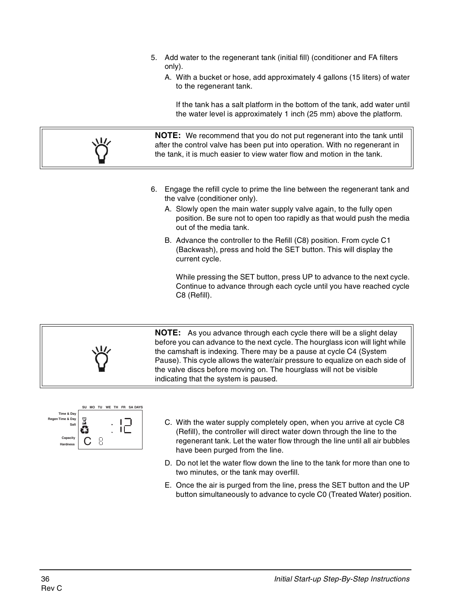- 5. Add water to the regenerant tank (initial fill) (conditioner and FA filters only).
	- A. With a bucket or hose, add approximately 4 gallons (15 liters) of water to the regenerant tank.

If the tank has a salt platform in the bottom of the tank, add water until the water level is approximately 1 inch (25 mm) above the platform.

**NOTE:** We recommend that you do not put regenerant into the tank until after the control valve has been put into operation. With no regenerant in the tank, it is much easier to view water flow and motion in the tank.

- 6. Engage the refill cycle to prime the line between the regenerant tank and the valve (conditioner only).
	- A. Slowly open the main water supply valve again, to the fully open position. Be sure not to open too rapidly as that would push the media out of the media tank.
	- B. Advance the controller to the Refill (C8) position. From cycle C1 (Backwash), press and hold the SET button. This will display the current cycle.

While pressing the SET button, press UP to advance to the next cycle. Continue to advance through each cycle until you have reached cycle C8 (Refill).

**NOTE:** As you advance through each cycle there will be a slight delay before you can advance to the next cycle. The hourglass icon will light while the camshaft is indexing. There may be a pause at cycle C4 (System Pause). This cycle allows the water/air pressure to equalize on each side of the valve discs before moving on. The hourglass will not be visible indicating that the system is paused.



- C. With the water supply completely open, when you arrive at cycle C8 (Refill), the controller will direct water down through the line to the regenerant tank. Let the water flow through the line until all air bubbles have been purged from the line.
- D. Do not let the water flow down the line to the tank for more than one to two minutes, or the tank may overfill.
- E. Once the air is purged from the line, press the SET button and the UP button simultaneously to advance to cycle C0 (Treated Water) position.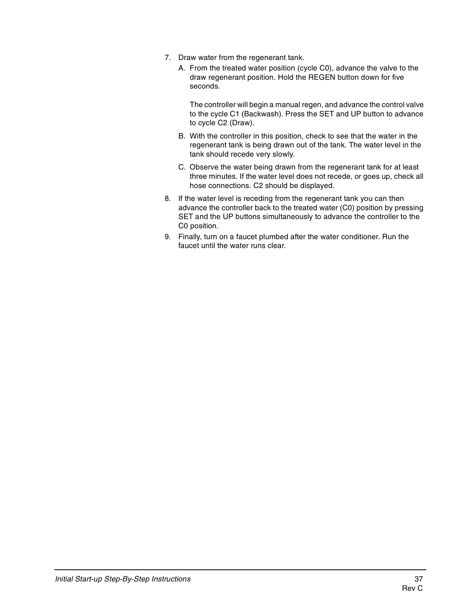- 7. Draw water from the regenerant tank.
	- A. From the treated water position (cycle C0), advance the valve to the draw regenerant position. Hold the REGEN button down for five seconds.

The controller will begin a manual regen, and advance the control valve to the cycle C1 (Backwash). Press the SET and UP button to advance to cycle C2 (Draw).

- B. With the controller in this position, check to see that the water in the regenerant tank is being drawn out of the tank. The water level in the tank should recede very slowly.
- C. Observe the water being drawn from the regenerant tank for at least three minutes. If the water level does not recede, or goes up, check all hose connections. C2 should be displayed.
- 8. If the water level is receding from the regenerant tank you can then advance the controller back to the treated water (C0) position by pressing SET and the UP buttons simultaneously to advance the controller to the C0 position.
- 9. Finally, turn on a faucet plumbed after the water conditioner. Run the faucet until the water runs clear.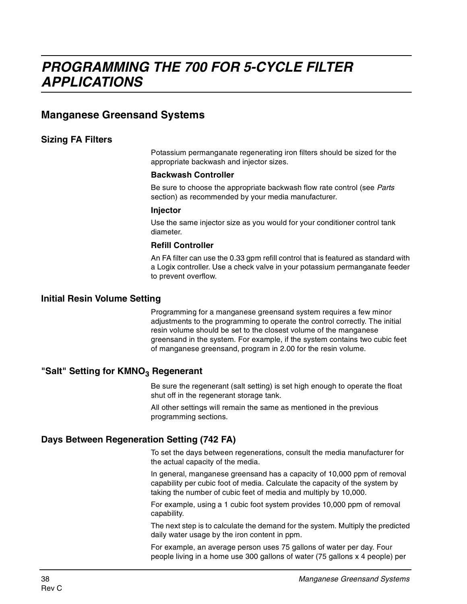## **Manganese Greensand Systems**

#### **Sizing FA Filters**

Potassium permanganate regenerating iron filters should be sized for the appropriate backwash and injector sizes.

#### **Backwash Controller**

Be sure to choose the appropriate backwash flow rate control (see Parts section) as recommended by your media manufacturer.

#### **Injector**

Use the same injector size as you would for your conditioner control tank diameter.

#### **Refill Controller**

An FA filter can use the 0.33 gpm refill control that is featured as standard with a Logix controller. Use a check valve in your potassium permanganate feeder to prevent overflow.

#### **Initial Resin Volume Setting**

Programming for a manganese greensand system requires a few minor adjustments to the programming to operate the control correctly. The initial resin volume should be set to the closest volume of the manganese greensand in the system. For example, if the system contains two cubic feet of manganese greensand, program in 2.00 for the resin volume.

#### "Salt" Setting for KMNO<sub>3</sub> Regenerant

Be sure the regenerant (salt setting) is set high enough to operate the float shut off in the regenerant storage tank.

All other settings will remain the same as mentioned in the previous programming sections.

#### **Days Between Regeneration Setting (742 FA)**

To set the days between regenerations, consult the media manufacturer for the actual capacity of the media.

In general, manganese greensand has a capacity of 10,000 ppm of removal capability per cubic foot of media. Calculate the capacity of the system by taking the number of cubic feet of media and multiply by 10,000.

For example, using a 1 cubic foot system provides 10,000 ppm of removal capability.

The next step is to calculate the demand for the system. Multiply the predicted daily water usage by the iron content in ppm.

For example, an average person uses 75 gallons of water per day. Four people living in a home use 300 gallons of water (75 gallons x 4 people) per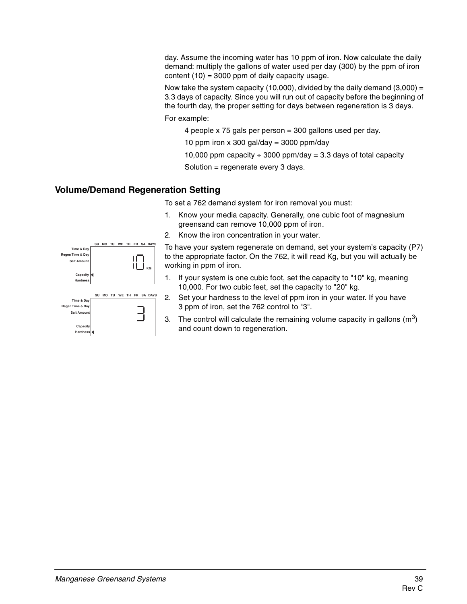day. Assume the incoming water has 10 ppm of iron. Now calculate the daily demand: multiply the gallons of water used per day (300) by the ppm of iron content  $(10) = 3000$  ppm of daily capacity usage.

Now take the system capacity (10,000), divided by the daily demand  $(3,000) =$ 3.3 days of capacity. Since you will run out of capacity before the beginning of the fourth day, the proper setting for days between regeneration is 3 days.

For example:

4 people x 75 gals per person = 300 gallons used per day.

10 ppm iron x 300 gal/day = 3000 ppm/day

10,000 ppm capacity  $\div$  3000 ppm/day = 3.3 days of total capacity

Solution = regenerate every 3 days.

#### **Volume/Demand Regeneration Setting**

To set a 762 demand system for iron removal you must:

- 1. Know your media capacity. Generally, one cubic foot of magnesium greensand can remove 10,000 ppm of iron.
- 2. Know the iron concentration in your water.

|                    | SU | <b>MO</b> | ΤU | WE        | ΤН | FR        | <b>SA DAYS</b> |
|--------------------|----|-----------|----|-----------|----|-----------|----------------|
| Time & Day         |    |           |    |           |    |           |                |
| Regen Time & Day   |    |           |    |           |    |           |                |
| <b>Salt Amount</b> |    |           |    |           |    |           |                |
|                    |    |           |    |           |    |           | KG             |
| Capacity           |    |           |    |           |    |           |                |
| <b>Hardness</b>    |    |           |    |           |    |           |                |
|                    |    |           |    |           |    |           |                |
|                    | SU | MO        | TU | <b>WE</b> | TH | <b>FR</b> | <b>SA DAYS</b> |
| Time & Day         |    |           |    |           |    |           |                |
| Regen Time & Day   |    |           |    |           |    |           |                |
| <b>Salt Amount</b> |    |           |    |           |    |           |                |
|                    |    |           |    |           |    |           |                |
|                    |    |           |    |           |    |           |                |
| Capacity           |    |           |    |           |    |           |                |
| <b>Hardness</b>    |    |           |    |           |    |           |                |

To have your system regenerate on demand, set your system's capacity (P7) to the appropriate factor. On the 762, it will read Kg, but you will actually be working in ppm of iron.

- 1. If your system is one cubic foot, set the capacity to "10" kg, meaning 10,000. For two cubic feet, set the capacity to "20" kg.
- 2. Set your hardness to the level of ppm iron in your water. If you have 3 ppm of iron, set the 762 control to "3".
- 3. The control will calculate the remaining volume capacity in gallons  $(m^3)$ and count down to regeneration.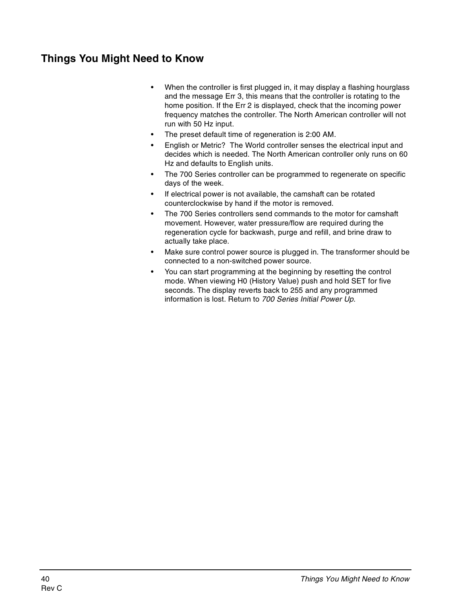# **Things You Might Need to Know**

- When the controller is first plugged in, it may display a flashing hourglass and the message Err 3, this means that the controller is rotating to the home position. If the Err 2 is displayed, check that the incoming power frequency matches the controller. The North American controller will not run with 50 Hz input.
- The preset default time of regeneration is 2:00 AM.
- English or Metric? The World controller senses the electrical input and decides which is needed. The North American controller only runs on 60 Hz and defaults to English units.
- The 700 Series controller can be programmed to regenerate on specific days of the week.
- If electrical power is not available, the camshaft can be rotated counterclockwise by hand if the motor is removed.
- The 700 Series controllers send commands to the motor for camshaft movement. However, water pressure/flow are required during the regeneration cycle for backwash, purge and refill, and brine draw to actually take place.
- Make sure control power source is plugged in. The transformer should be connected to a non-switched power source.
- You can start programming at the beginning by resetting the control mode. When viewing H0 (History Value) push and hold SET for five seconds. The display reverts back to 255 and any programmed information is lost. Return to 700 Series Initial Power Up.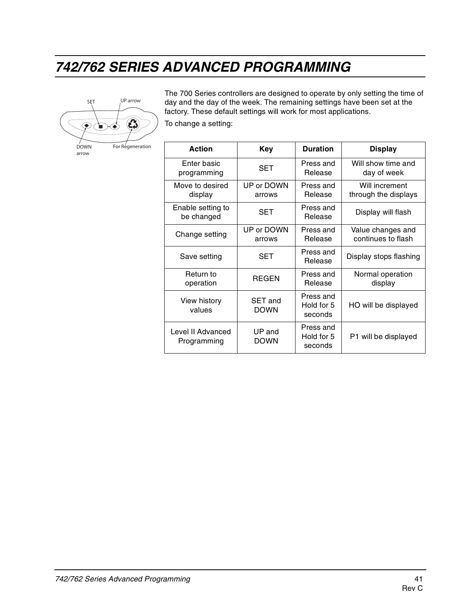# **742/762 SERIES ADVANCED PROGRAMMING**



The 700 Series controllers are designed to operate by only setting the time of day and the day of the week. The remaining settings have been set at the factory. These default settings will work for most applications.

To change a setting:

| <b>Action</b>                    | <b>Key</b>                    | <b>Duration</b>                    | <b>Display</b>                          |
|----------------------------------|-------------------------------|------------------------------------|-----------------------------------------|
| Enter basic<br>programming       | <b>SET</b>                    | Press and<br>Release               | Will show time and<br>day of week       |
| Move to desired<br>display       | UP or DOWN<br>arrows          | Press and<br>Release               | Will increment<br>through the displays  |
| Enable setting to<br>be changed  | SET                           | Press and<br><b>Release</b>        | Display will flash                      |
| Change setting                   | UP or DOWN<br>arrows          | Press and<br>Release               | Value changes and<br>continues to flash |
| Save setting                     | SET                           | Press and<br>Release               | Display stops flashing                  |
| Return to<br>operation           | <b>REGEN</b>                  | Press and<br>Release               | Normal operation<br>display             |
| View history<br>values           | <b>SET and</b><br><b>DOWN</b> | Press and<br>Hold for 5<br>seconds | HO will be displayed                    |
| Level II Advanced<br>Programming | UP and<br><b>DOWN</b>         | Press and<br>Hold for 5<br>seconds | P1 will be displayed                    |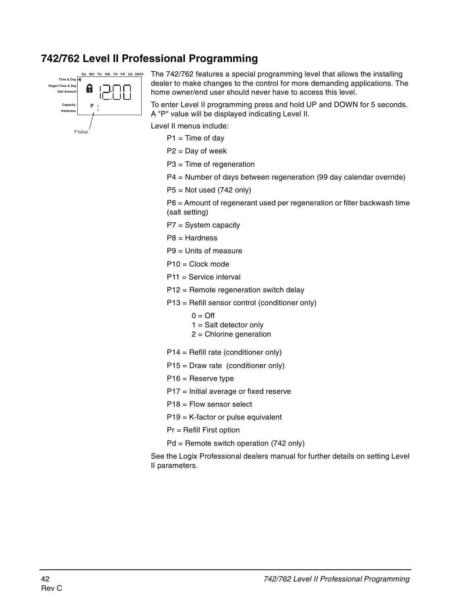## **742/762 Level II Professional Programming**



The 742/762 features a special programming level that allows the installing dealer to make changes to the control for more demanding applications. The home owner/end user should never have to access this level.

To enter Level II programming press and hold UP and DOWN for 5 seconds. A "P" value will be displayed indicating Level II.

Level II menus include:

 $P1 = Time of day$ 

P2 = Day of week

P3 = Time of regeneration

P4 = Number of days between regeneration (99 day calendar override)

 $P5 = Not used (742 only)$ 

P6 = Amount of regenerant used per regeneration or filter backwash time (salt setting)

P7 = System capacity

P8 = Hardness

P9 = Units of measure

P10 = Clock mode

P11 = Service interval

P12 = Remote regeneration switch delay

P13 = Refill sensor control (conditioner only)

 $0 = \text{Off}$ 

 $1 =$  Salt detector only

- 2 = Chlorine generation
- P14 = Refill rate (conditioner only)
- P15 = Draw rate (conditioner only)
- P16 = Reserve type
- P17 = Initial average or fixed reserve

P18 = Flow sensor select

P19 = K-factor or pulse equivalent

Pr = Refill First option

Pd = Remote switch operation (742 only)

See the Logix Professional dealers manual for further details on setting Level II parameters.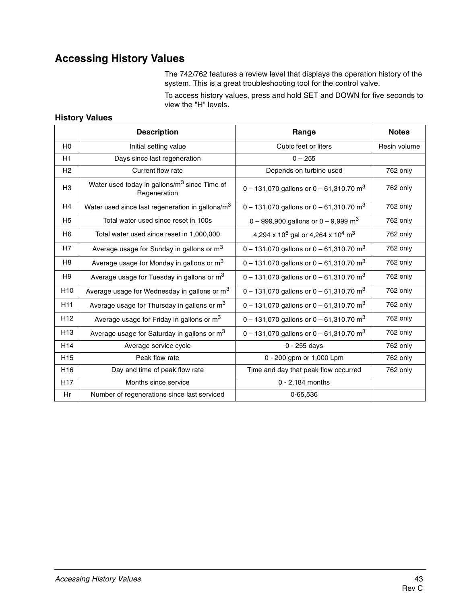# **Accessing History Values**

The 742/762 features a review level that displays the operation history of the system. This is a great troubleshooting tool for the control valve.

To access history values, press and hold SET and DOWN for five seconds to view the "H" levels.

#### **History Values**

|                 | <b>Description</b>                                                       | Range                                                                 | <b>Notes</b> |
|-----------------|--------------------------------------------------------------------------|-----------------------------------------------------------------------|--------------|
| H <sub>0</sub>  | Initial setting value                                                    | Cubic feet or liters                                                  | Resin volume |
| H1              | Days since last regeneration                                             | $0 - 255$                                                             |              |
| H2              | Current flow rate                                                        | Depends on turbine used                                               | 762 only     |
| H <sub>3</sub>  | Water used today in gallons/m <sup>3</sup> since Time of<br>Regeneration | 0 – 131,070 gallons or 0 – 61,310.70 m <sup>3</sup>                   | 762 only     |
| H4              | Water used since last regeneration in gallons/m <sup>3</sup>             | 0 – 131,070 gallons or 0 – 61,310.70 m <sup>3</sup>                   | 762 only     |
| H <sub>5</sub>  | Total water used since reset in 100s                                     | 0 – 999,900 gallons or 0 – 9,999 m <sup>3</sup>                       | 762 only     |
| H <sub>6</sub>  | Total water used since reset in 1,000,000                                | 4,294 x 10 <sup>6</sup> gal or 4,264 x 10 <sup>4</sup> m <sup>3</sup> | 762 only     |
| H7              | Average usage for Sunday in gallons or m <sup>3</sup>                    | 0 – 131,070 gallons or 0 – 61,310.70 m <sup>3</sup>                   | 762 only     |
| H <sub>8</sub>  | Average usage for Monday in gallons or m <sup>3</sup>                    | 0 – 131,070 gallons or 0 – 61,310.70 m <sup>3</sup>                   | 762 only     |
| H <sub>9</sub>  | Average usage for Tuesday in gallons or m <sup>3</sup>                   | 0 - 131,070 gallons or 0 - 61,310.70 $m3$                             | 762 only     |
| H <sub>10</sub> | Average usage for Wednesday in gallons or m <sup>3</sup>                 | 0 – 131,070 gallons or 0 – 61,310.70 m <sup>3</sup>                   | 762 only     |
| H <sub>11</sub> | Average usage for Thursday in gallons or m <sup>3</sup>                  | 0 – 131,070 gallons or 0 – 61,310.70 m <sup>3</sup>                   | 762 only     |
| H <sub>12</sub> | Average usage for Friday in gallons or m <sup>3</sup>                    | 0 – 131,070 gallons or 0 – 61,310.70 m <sup>3</sup>                   | 762 only     |
| H <sub>13</sub> | Average usage for Saturday in gallons or m <sup>3</sup>                  | 0 – 131,070 gallons or 0 – 61,310.70 m <sup>3</sup>                   | 762 only     |
| H <sub>14</sub> | Average service cycle                                                    | $0 - 255$ days                                                        | 762 only     |
| H <sub>15</sub> | Peak flow rate                                                           | 0 - 200 gpm or 1,000 Lpm                                              | 762 only     |
| H <sub>16</sub> | Day and time of peak flow rate                                           | Time and day that peak flow occurred                                  | 762 only     |
| H <sub>17</sub> | Months since service                                                     | 0 - 2,184 months                                                      |              |
| Hr              | Number of regenerations since last serviced                              | 0-65,536                                                              |              |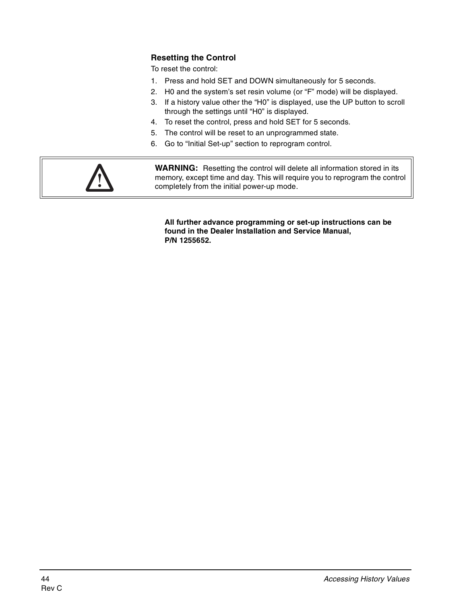#### **Resetting the Control**

To reset the control:

- 1. Press and hold SET and DOWN simultaneously for 5 seconds.
- 2. H0 and the system's set resin volume (or "F" mode) will be displayed.
- 3. If a history value other the "H0" is displayed, use the UP button to scroll through the settings until "H0" is displayed.
- 4. To reset the control, press and hold SET for 5 seconds.
- 5. The control will be reset to an unprogrammed state.
- 6. Go to "Initial Set-up" section to reprogram control.



**WARNING:** Resetting the control will delete all information stored in its memory, except time and day. This will require you to reprogram the control completely from the initial power-up mode.

**All further advance programming or set-up instructions can be found in the Dealer Installation and Service Manual, P/N 1255652.**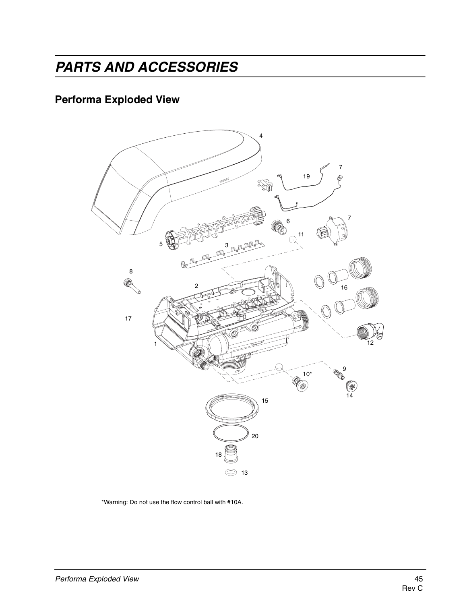# **PARTS AND ACCESSORIES**

# **Performa Exploded View**



\*Warning: Do not use the flow control ball with #10A.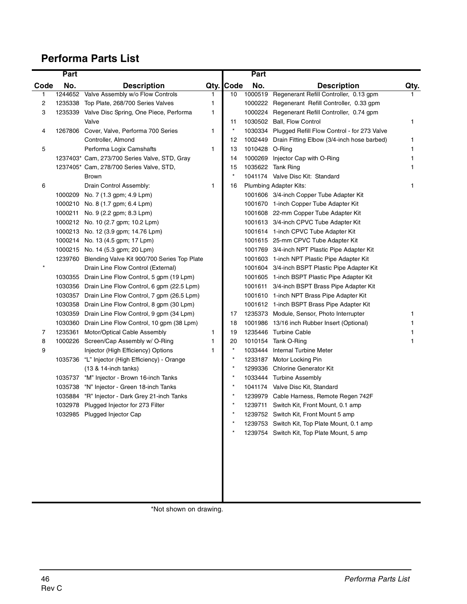# **Performa Parts List**

|      | Part    |                                                     |      |          | Part           |                                                |      |
|------|---------|-----------------------------------------------------|------|----------|----------------|------------------------------------------------|------|
| Code | No.     | <b>Description</b>                                  | Qty. | Code     | No.            | <b>Description</b>                             | Qty. |
| 1    | 1244652 | Valve Assembly w/o Flow Controls                    | 1    | 10       |                | 1000519 Regenerant Refill Controller, 0.13 gpm |      |
| 2    | 1235338 | Top Plate, 268/700 Series Valves                    | 1    |          | 1000222        | Regenerant Refill Controller, 0.33 gpm         |      |
| 3    |         | 1235339 Valve Disc Spring, One Piece, Performa      | 1    |          | 1000224        | Regenerant Refill Controller, 0.74 gpm         |      |
|      |         | Valve                                               |      | 11       | 1030502        | Ball, Flow Control                             | 1    |
| 4    |         | 1267806 Cover, Valve, Performa 700 Series           | 1    | $^\star$ | 1030334        | Plugged Refill Flow Control - for 273 Valve    |      |
|      |         | Controller, Almond                                  |      | 12       | 1002449        | Drain Fitting Elbow (3/4-inch hose barbed)     | 1    |
| 5    |         | Performa Logix Camshafts                            | 1    | 13       | 1010428 O-Ring |                                                | 1    |
|      |         | 1237403* Cam, 273/700 Series Valve, STD, Gray       |      | 14       | 1000269        | Injector Cap with O-Ring                       |      |
|      |         | 1237405* Cam, 278/700 Series Valve, STD,            |      | 15       | 1035622        | <b>Tank Ring</b>                               |      |
|      |         | <b>Brown</b>                                        |      | $\star$  |                | 1041174 Valve Disc Kit: Standard               |      |
| 6    |         | Drain Control Assembly:                             | 1    | 16       |                | Plumbing Adapter Kits:                         | 1    |
|      |         | 1000209 No. 7 (1.3 gpm; 4.9 Lpm)                    |      |          |                | 1001606 3/4-inch Copper Tube Adapter Kit       |      |
|      |         | 1000210 No. 8 (1.7 gpm; 6.4 Lpm)                    |      |          |                | 1001670 1-inch Copper Tube Adapter Kit         |      |
|      |         | 1000211 No. 9 (2.2 gpm; 8.3 Lpm)                    |      |          |                | 1001608 22-mm Copper Tube Adapter Kit          |      |
|      |         | 1000212 No. 10 (2.7 gpm; 10.2 Lpm)                  |      |          |                | 1001613 3/4-inch CPVC Tube Adapter Kit         |      |
|      |         | 1000213 No. 12 (3.9 gpm; 14.76 Lpm)                 |      |          |                | 1001614 1-inch CPVC Tube Adapter Kit           |      |
|      |         | 1000214 No. 13 (4.5 gpm; 17 Lpm)                    |      |          |                | 1001615 25-mm CPVC Tube Adapter Kit            |      |
|      |         | 1000215 No. 14 (5.3 gpm; 20 Lpm)                    |      |          |                | 1001769 3/4-inch NPT Plastic Pipe Adapter Kit  |      |
|      |         | 1239760 Blending Valve Kit 900/700 Series Top Plate |      |          |                | 1001603 1-inch NPT Plastic Pipe Adapter Kit    |      |
|      |         | Drain Line Flow Control (External)                  |      |          |                | 1001604 3/4-inch BSPT Plastic Pipe Adapter Kit |      |
|      |         | 1030355 Drain Line Flow Control, 5 gpm (19 Lpm)     |      |          |                | 1001605 1-inch BSPT Plastic Pipe Adapter Kit   |      |
|      |         | 1030356 Drain Line Flow Control, 6 gpm (22.5 Lpm)   |      |          |                | 1001611 3/4-inch BSPT Brass Pipe Adapter Kit   |      |
|      |         | 1030357 Drain Line Flow Control, 7 gpm (26.5 Lpm)   |      |          |                | 1001610 1-inch NPT Brass Pipe Adapter Kit      |      |
|      |         | 1030358 Drain Line Flow Control, 8 gpm (30 Lpm)     |      |          |                | 1001612 1-inch BSPT Brass Pipe Adapter Kit     |      |
|      |         | 1030359 Drain Line Flow Control, 9 gpm (34 Lpm)     |      | 17       |                | 1235373 Module, Sensor, Photo Interrupter      | 1    |
|      |         | 1030360 Drain Line Flow Control, 10 gpm (38 Lpm)    |      | 18       | 1001986        | 13/16 inch Rubber Insert (Optional)            |      |
| 7    | 1235361 | Motor/Optical Cable Assembly                        | 1    | 19       |                | 1235446 Turbine Cable                          |      |
| 8    |         | 1000226 Screen/Cap Assembly w/ O-Ring               | 1    | 20       | 1010154        | Tank O-Ring                                    | 1    |
| 9    |         | Injector (High Efficiency) Options                  | 1    |          | 1033444        | Internal Turbine Meter                         |      |
|      |         | 1035736 "L" Injector (High Efficiency) - Orange     |      | $\star$  |                | 1233187 Motor Locking Pin                      |      |
|      |         | (13 & 14-inch tanks)                                |      | $\star$  |                | 1299336 Chlorine Generator Kit                 |      |
|      | 1035737 | "M" Injector - Brown 16-inch Tanks                  |      | $\star$  |                | 1033444 Turbine Assembly                       |      |
|      | 1035738 | "N" Injector - Green 18-inch Tanks                  |      | $\star$  |                | 1041174 Valve Disc Kit, Standard               |      |
|      |         | 1035884 "R" Injector - Dark Grey 21-inch Tanks      |      |          |                | 1239979 Cable Harness, Remote Regen 742F       |      |
|      |         | 1032978 Plugged Injector for 273 Filter             |      |          |                | 1239711 Switch Kit, Front Mount, 0.1 amp       |      |
|      |         | 1032985 Plugged Injector Cap                        |      |          |                | 1239752 Switch Kit, Front Mount 5 amp          |      |
|      |         |                                                     |      |          |                | 1239753 Switch Kit, Top Plate Mount, 0.1 amp   |      |
|      |         |                                                     |      |          |                | 1239754 Switch Kit, Top Plate Mount, 5 amp     |      |
|      |         |                                                     |      |          |                |                                                |      |

\*Not shown on drawing.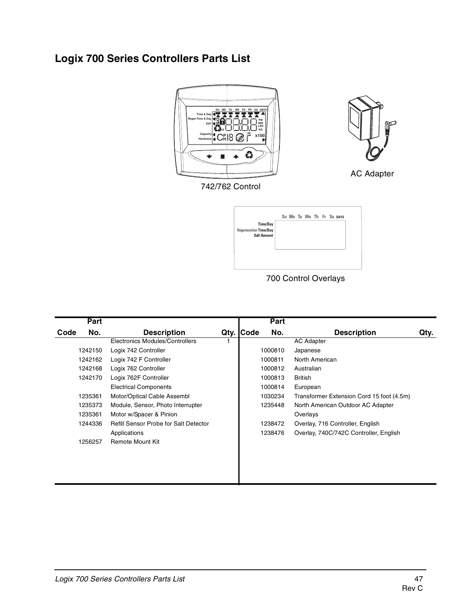# **Logix 700 Series Controllers Parts List**



742/762 Control



AC Adapter

**Time/Day Su Mo Tu We Th Fr Sa DAYS Regeneration Time/Day Salt Amou** 

700 Control Overlays

|      | Part    |                                              |           | Part    |                                           |      |
|------|---------|----------------------------------------------|-----------|---------|-------------------------------------------|------|
| Code | No.     | <b>Description</b>                           | Qty. Code | No.     | <b>Description</b>                        | Qty. |
|      |         | Electronics Modules/Controllers              |           |         | <b>AC Adapter</b>                         |      |
|      | 1242150 | Logix 742 Controller                         |           | 1000810 | Japanese                                  |      |
|      | 1242162 | Logix 742 F Controller                       |           | 1000811 | North American                            |      |
|      | 1242168 | Logix 762 Controller                         |           | 1000812 | Australian                                |      |
|      | 1242170 | Logix 762F Controller                        |           | 1000813 | British                                   |      |
|      |         | <b>Electrical Components</b>                 |           | 1000814 | European                                  |      |
|      | 1235361 | Motor/Optical Cable Assembl                  |           | 1030234 | Transformer Extension Cord 15 foot (4.5m) |      |
|      | 1235373 | Module, Sensor, Photo Interrupter            |           | 1235448 | North American Outdoor AC Adapter         |      |
|      | 1235361 | Motor w/Spacer & Pinion                      |           |         | Overlays                                  |      |
|      | 1244336 | <b>Refill Sensor Probe for Salt Detector</b> |           | 1238472 | Overlay, 716 Controller, English          |      |
|      |         | Applications                                 |           | 1238476 | Overlay, 740C/742C Controller, English    |      |
|      | 1256257 | <b>Remote Mount Kit</b>                      |           |         |                                           |      |
|      |         |                                              |           |         |                                           |      |
|      |         |                                              |           |         |                                           |      |
|      |         |                                              |           |         |                                           |      |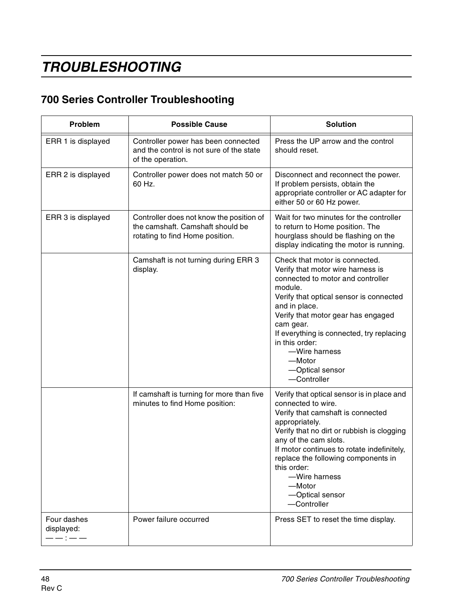# **TROUBLESHOOTING**

# **700 Series Controller Troubleshooting**

| Problem                   | <b>Possible Cause</b>                                                                                           | <b>Solution</b>                                                                                                                                                                                                                                                                                                                                                 |  |  |
|---------------------------|-----------------------------------------------------------------------------------------------------------------|-----------------------------------------------------------------------------------------------------------------------------------------------------------------------------------------------------------------------------------------------------------------------------------------------------------------------------------------------------------------|--|--|
| ERR 1 is displayed        | Controller power has been connected<br>and the control is not sure of the state<br>of the operation.            | Press the UP arrow and the control<br>should reset.                                                                                                                                                                                                                                                                                                             |  |  |
| ERR 2 is displayed        | Controller power does not match 50 or<br>60 Hz.                                                                 | Disconnect and reconnect the power.<br>If problem persists, obtain the<br>appropriate controller or AC adapter for<br>either 50 or 60 Hz power.                                                                                                                                                                                                                 |  |  |
| ERR 3 is displayed        | Controller does not know the position of<br>the camshaft. Camshaft should be<br>rotating to find Home position. | Wait for two minutes for the controller<br>to return to Home position. The<br>hourglass should be flashing on the<br>display indicating the motor is running.                                                                                                                                                                                                   |  |  |
|                           | Camshaft is not turning during ERR 3<br>display.                                                                | Check that motor is connected.<br>Verify that motor wire harness is<br>connected to motor and controller<br>module.<br>Verify that optical sensor is connected<br>and in place.<br>Verify that motor gear has engaged<br>cam gear.<br>If everything is connected, try replacing<br>in this order:<br>-Wire harness<br>—Motor<br>-Optical sensor<br>-Controller  |  |  |
|                           | If camshaft is turning for more than five<br>minutes to find Home position:                                     | Verify that optical sensor is in place and<br>connected to wire.<br>Verify that camshaft is connected<br>appropriately.<br>Verify that no dirt or rubbish is clogging<br>any of the cam slots.<br>If motor continues to rotate indefinitely,<br>replace the following components in<br>this order:<br>-Wire harness<br>-Motor<br>-Optical sensor<br>-Controller |  |  |
| Four dashes<br>displayed: | Power failure occurred                                                                                          | Press SET to reset the time display.                                                                                                                                                                                                                                                                                                                            |  |  |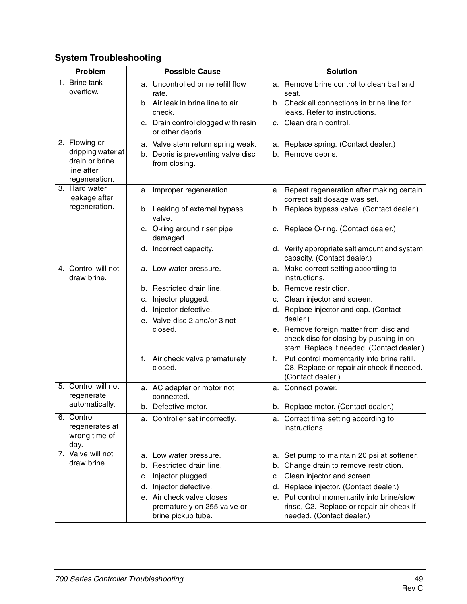# **System Troubleshooting**

| Problem                             |    | <b>Possible Cause</b>                                                          |    | <b>Solution</b>                                                                                                                 |
|-------------------------------------|----|--------------------------------------------------------------------------------|----|---------------------------------------------------------------------------------------------------------------------------------|
| 1. Brine tank                       |    | a. Uncontrolled brine refill flow                                              |    | a. Remove brine control to clean ball and                                                                                       |
| overflow.                           |    | rate.                                                                          |    | seat.                                                                                                                           |
|                                     |    | b. Air leak in brine line to air<br>check.                                     |    | b. Check all connections in brine line for<br>leaks. Refer to instructions.                                                     |
|                                     |    | c. Drain control clogged with resin                                            |    | c. Clean drain control.                                                                                                         |
|                                     |    | or other debris.                                                               |    |                                                                                                                                 |
| 2. Flowing or                       |    | a. Valve stem return spring weak.                                              |    | a. Replace spring. (Contact dealer.)                                                                                            |
| dripping water at<br>drain or brine |    | b. Debris is preventing valve disc                                             |    | b. Remove debris.                                                                                                               |
| line after                          |    | from closing.                                                                  |    |                                                                                                                                 |
| regeneration.                       |    |                                                                                |    |                                                                                                                                 |
| 3. Hard water<br>leakage after      |    | a. Improper regeneration.                                                      |    | a. Repeat regeneration after making certain<br>correct salt dosage was set.                                                     |
| regeneration.                       |    | b. Leaking of external bypass<br>valve.                                        |    | b. Replace bypass valve. (Contact dealer.)                                                                                      |
|                                     |    | c. O-ring around riser pipe<br>damaged.                                        |    | c. Replace O-ring. (Contact dealer.)                                                                                            |
|                                     |    | d. Incorrect capacity.                                                         |    | d. Verify appropriate salt amount and system<br>capacity. (Contact dealer.)                                                     |
| 4. Control will not<br>draw brine.  |    | a. Low water pressure.                                                         |    | a. Make correct setting according to<br>instructions.                                                                           |
|                                     |    | b. Restricted drain line.                                                      |    | b. Remove restriction.                                                                                                          |
|                                     | с. | Injector plugged.                                                              |    | c. Clean injector and screen.                                                                                                   |
|                                     | d. | Injector defective.                                                            |    | d. Replace injector and cap. (Contact                                                                                           |
|                                     |    | e. Valve disc 2 and/or 3 not                                                   |    | dealer.)                                                                                                                        |
|                                     |    | closed.                                                                        |    | e. Remove foreign matter from disc and<br>check disc for closing by pushing in on<br>stem. Replace if needed. (Contact dealer.) |
|                                     |    | f. Air check valve prematurely<br>closed.                                      |    | f. Put control momentarily into brine refill,<br>C8. Replace or repair air check if needed.<br>(Contact dealer.)                |
| 5. Control will not                 |    | a. AC adapter or motor not                                                     |    | a. Connect power.                                                                                                               |
| regenerate                          |    | connected.                                                                     |    |                                                                                                                                 |
| automatically.                      |    | b. Defective motor.                                                            |    | b. Replace motor. (Contact dealer.)                                                                                             |
| 6. Control<br>regenerates at        |    | a. Controller set incorrectly.                                                 |    | a. Correct time setting according to                                                                                            |
| wrong time of                       |    |                                                                                |    | instructions.                                                                                                                   |
| day.                                |    |                                                                                |    |                                                                                                                                 |
| 7. Valve will not                   |    | a. Low water pressure.                                                         | a. | Set pump to maintain 20 psi at softener.                                                                                        |
| draw brine.                         | b. | Restricted drain line.                                                         | b. | Change drain to remove restriction.                                                                                             |
|                                     | с. | Injector plugged.                                                              | C. | Clean injector and screen.                                                                                                      |
|                                     | d. | Injector defective.                                                            |    | d. Replace injector. (Contact dealer.)                                                                                          |
|                                     |    | e. Air check valve closes<br>prematurely on 255 valve or<br>brine pickup tube. |    | e. Put control momentarily into brine/slow<br>rinse, C2. Replace or repair air check if<br>needed. (Contact dealer.)            |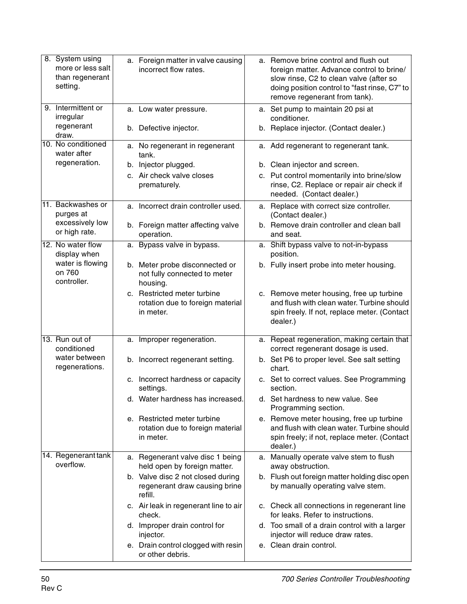| 8. System using<br>more or less salt<br>than regenerant<br>setting. | a. Foreign matter in valve causing<br>incorrect flow rates.                   |    | a. Remove brine control and flush out<br>foreign matter. Advance control to brine/<br>slow rinse, C2 to clean valve (after so<br>doing position control to "fast rinse, C7" to<br>remove regenerant from tank). |
|---------------------------------------------------------------------|-------------------------------------------------------------------------------|----|-----------------------------------------------------------------------------------------------------------------------------------------------------------------------------------------------------------------|
| 9. Intermittent or<br>irregular                                     | a. Low water pressure.                                                        |    | a. Set pump to maintain 20 psi at<br>conditioner.                                                                                                                                                               |
| regenerant<br>draw.                                                 | b. Defective injector.                                                        |    | b. Replace injector. (Contact dealer.)                                                                                                                                                                          |
| 10. No conditioned<br>water after                                   | a. No regenerant in regenerant<br>tank.                                       |    | a. Add regenerant to regenerant tank.                                                                                                                                                                           |
| regeneration.                                                       | b. Injector plugged.                                                          |    | b. Clean injector and screen.                                                                                                                                                                                   |
|                                                                     | c. Air check valve closes<br>prematurely.                                     |    | c. Put control momentarily into brine/slow<br>rinse, C2. Replace or repair air check if<br>needed. (Contact dealer.)                                                                                            |
| 11. Backwashes or<br>purges at                                      | a. Incorrect drain controller used.                                           |    | a. Replace with correct size controller.<br>(Contact dealer.)                                                                                                                                                   |
| excessively low<br>or high rate.                                    | b. Foreign matter affecting valve<br>operation.                               |    | b. Remove drain controller and clean ball<br>and seat.                                                                                                                                                          |
| 12. No water flow<br>display when                                   | a. Bypass valve in bypass.                                                    |    | a. Shift bypass valve to not-in-bypass<br>position.                                                                                                                                                             |
| water is flowing<br>on 760<br>controller.                           | b. Meter probe disconnected or<br>not fully connected to meter<br>housing.    |    | b. Fully insert probe into meter housing.                                                                                                                                                                       |
|                                                                     | c. Restricted meter turbine<br>rotation due to foreign material<br>in meter.  |    | c. Remove meter housing, free up turbine<br>and flush with clean water. Turbine should<br>spin freely. If not, replace meter. (Contact<br>dealer.)                                                              |
| 13. Run out of<br>conditioned                                       | a. Improper regeneration.                                                     | а. | Repeat regeneration, making certain that<br>correct regenerant dosage is used.                                                                                                                                  |
| water between<br>regenerations.                                     | b. Incorrect regenerant setting.                                              |    | b. Set P6 to proper level. See salt setting<br>chart.                                                                                                                                                           |
|                                                                     | c. Incorrect hardness or capacity<br>settings.                                |    | c. Set to correct values. See Programming<br>section.                                                                                                                                                           |
|                                                                     | d. Water hardness has increased.                                              |    | d. Set hardness to new value. See<br>Programming section.                                                                                                                                                       |
|                                                                     | e. Restricted meter turbine<br>rotation due to foreign material<br>in meter.  |    | e. Remove meter housing, free up turbine<br>and flush with clean water. Turbine should<br>spin freely; if not, replace meter. (Contact<br>dealer.)                                                              |
| 14. Regenerant tank<br>overflow.                                    | a. Regenerant valve disc 1 being<br>held open by foreign matter.              |    | a. Manually operate valve stem to flush<br>away obstruction.                                                                                                                                                    |
|                                                                     | b. Valve disc 2 not closed during<br>regenerant draw causing brine<br>refill. |    | b. Flush out foreign matter holding disc open<br>by manually operating valve stem.                                                                                                                              |
|                                                                     | c. Air leak in regenerant line to air<br>check.                               |    | c. Check all connections in regenerant line<br>for leaks. Refer to instructions.                                                                                                                                |
|                                                                     | d. Improper drain control for<br>injector.                                    |    | d. Too small of a drain control with a larger<br>injector will reduce draw rates.                                                                                                                               |
|                                                                     | e. Drain control clogged with resin<br>or other debris.                       |    | e. Clean drain control.                                                                                                                                                                                         |